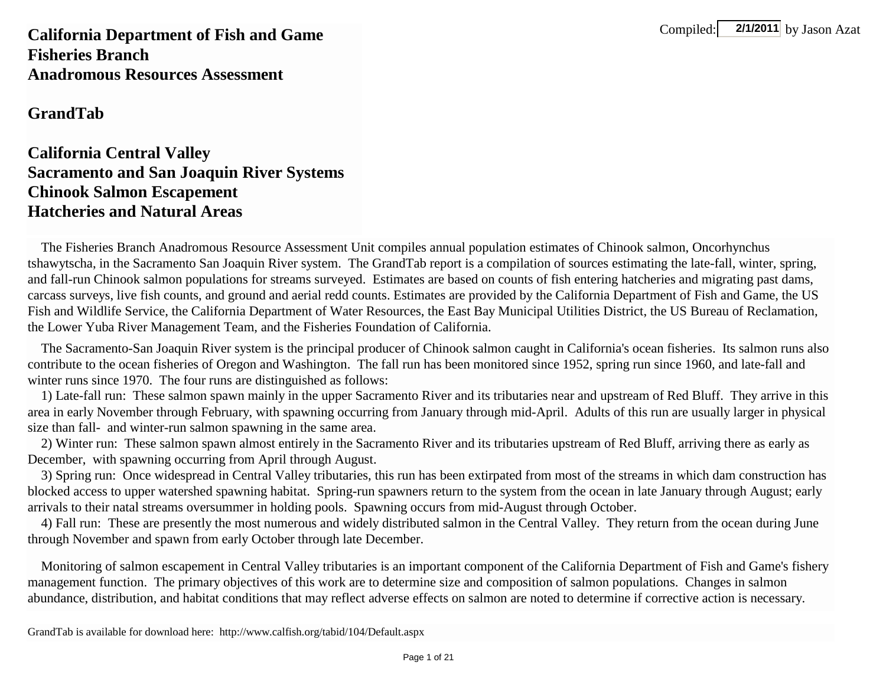Compiled:  $2/1/2011$  by Jason Azat

**California Department of Fish and Game Fisheries BranchAnadromous Resources Assessment**

**GrandTab**

## **California Central Valley Sacramento and San Joaquin River Systems Chinook Salmon Escapement Hatcheries and Natural Areas**

 The Fisheries Branch Anadromous Resource Assessment Unit compiles annual population estimates of Chinook salmon, Oncorhynchus tshawytscha, in the Sacramento San Joaquin River system. The GrandTab report is a compilation of sources estimating the late-fall, winter, spring, and fall-run Chinook salmon populations for streams surveyed. Estimates are based on counts of fish entering hatcheries and migrating past dams, carcass surveys, live fish counts, and ground and aerial redd counts. Estimates are provided by the California Department of Fish and Game, the US Fish and Wildlife Service, the California Department of Water Resources, the East Bay Municipal Utilities District, the US Bureau of Reclamation, the Lower Yuba River Management Team, and the Fisheries Foundation of California.

 The Sacramento-San Joaquin River system is the principal producer of Chinook salmon caught in California's ocean fisheries. Its salmon runs also contribute to the ocean fisheries of Oregon and Washington. The fall run has been monitored since 1952, spring run since 1960, and late-fall and winter runs since 1970. The four runs are distinguished as follows:

 1) Late-fall run: These salmon spawn mainly in the upper Sacramento River and its tributaries near and upstream of Red Bluff. They arrive in this area in early November through February, with spawning occurring from January through mid-April. Adults of this run are usually larger in physical size than fall- and winter-run salmon spawning in the same area.

 2) Winter run: These salmon spawn almost entirely in the Sacramento River and its tributaries upstream of Red Bluff, arriving there as early as December, with spawning occurring from April through August.

 3) Spring run: Once widespread in Central Valley tributaries, this run has been extirpated from most of the streams in which dam construction has blocked access to upper watershed spawning habitat. Spring-run spawners return to the system from the ocean in late January through August; early arrivals to their natal streams oversummer in holding pools. Spawning occurs from mid-August through October.

 4) Fall run: These are presently the most numerous and widely distributed salmon in the Central Valley. They return from the ocean during June through November and spawn from early October through late December.

 Monitoring of salmon escapement in Central Valley tributaries is an important component of the California Department of Fish and Game's fishery management function. The primary objectives of this work are to determine size and composition of salmon populations. Changes in salmon abundance, distribution, and habitat conditions that may reflect adverse effects on salmon are noted to determine if corrective action is necessary.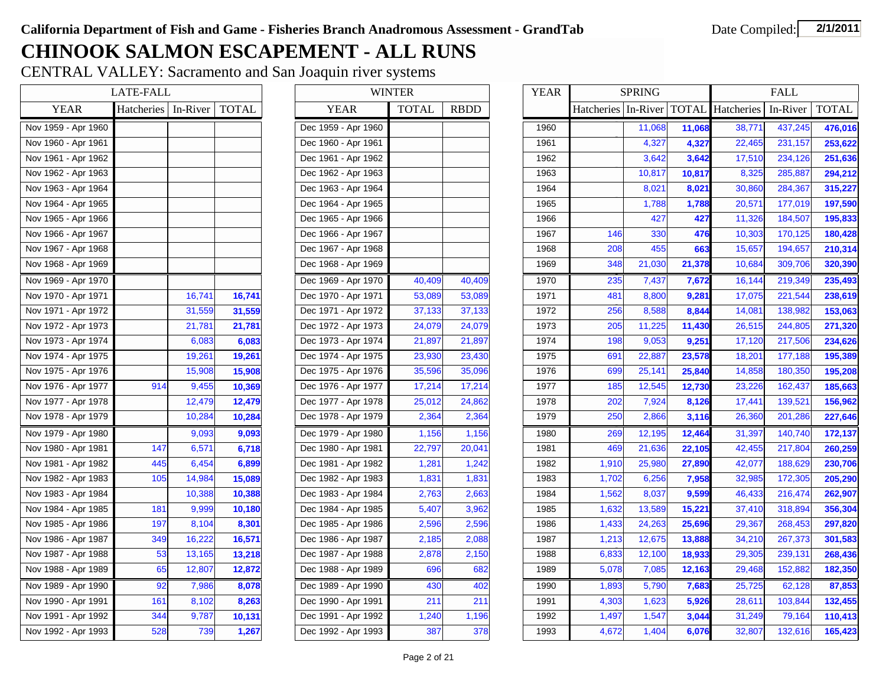## **CHINOOK SALMON ESCAPEMENT - ALL RUNS**

CENTRAL VALLEY: Sacramento and San Joaquin river systems

|                     | <b>LATE-FALL</b>  |          |              |
|---------------------|-------------------|----------|--------------|
| YEAR                | <b>Hatcheries</b> | In-River | <b>TOTAL</b> |
| Nov 1959 - Apr 1960 |                   |          |              |
| Nov 1960 - Apr 1961 |                   |          |              |
| Nov 1961 - Apr 1962 |                   |          |              |
| Nov 1962 - Apr 1963 |                   |          |              |
| Nov 1963 - Apr 1964 |                   |          |              |
| Nov 1964 - Apr 1965 |                   |          |              |
| Nov 1965 - Apr 1966 |                   |          |              |
| Nov 1966 - Apr 1967 |                   |          |              |
| Nov 1967 - Apr 1968 |                   |          |              |
| Nov 1968 - Apr 1969 |                   |          |              |
| Nov 1969 - Apr 1970 |                   |          |              |
| Nov 1970 - Apr 1971 |                   | 16,741   | 16,741       |
| Nov 1971 - Apr 1972 |                   | 31,559   | 31,559       |
| Nov 1972 - Apr 1973 |                   | 21,781   | 21,781       |
| Nov 1973 - Apr 1974 |                   | 6,083    | 6,083        |
| Nov 1974 - Apr 1975 |                   | 19,261   | 19,261       |
| Nov 1975 - Apr 1976 |                   | 15,908   | 15,908       |
| Nov 1976 - Apr 1977 | 914               | 9,455    | 10,369       |
| Nov 1977 - Apr 1978 |                   | 12,479   | 12,479       |
| Nov 1978 - Apr 1979 |                   | 10,284   | 10,284       |
| Nov 1979 - Apr 1980 |                   | 9,093    | 9,093        |
| Nov 1980 - Apr 1981 | 147               | 6,571    | 6,718        |
| Nov 1981 - Apr 1982 | 445               | 6,454    | 6,899        |
| Nov 1982 - Apr 1983 | 105               | 14,984   | 15,089       |
| Nov 1983 - Apr 1984 |                   | 10,388   | 10,388       |
| Nov 1984 - Apr 1985 | 181               | 9,999    | 10,180       |
| Nov 1985 - Apr 1986 | 197               | 8,104    | 8,301        |
| Nov 1986 - Apr 1987 | 349               | 16,222   | 16,571       |
| Nov 1987 - Apr 1988 | 53                | 13,165   | 13,218       |
| Nov 1988 - Apr 1989 | 65                | 12,807   | 12,872       |
| Nov 1989 - Apr 1990 | 92                | 7,986    | 8,078        |
| Nov 1990 - Apr 1991 | 161               | 8,102    | 8,263        |
| Nov 1991 - Apr 1992 | 344               | 9,787    | 10,131       |
| Nov 1992 - Apr 1993 | 528               | 739      | 1,267        |

| L        |              |                     | <b>WINTER</b> |             | <b>YEAR</b> |
|----------|--------------|---------------------|---------------|-------------|-------------|
| In-River | <b>TOTAL</b> | <b>YEAR</b>         | <b>TOTAL</b>  | <b>RBDD</b> |             |
|          |              | Dec 1959 - Apr 1960 |               |             | 1960        |
|          |              | Dec 1960 - Apr 1961 |               |             | 1961        |
|          |              | Dec 1961 - Apr 1962 |               |             | 1962        |
|          |              | Dec 1962 - Apr 1963 |               |             | 1963        |
|          |              | Dec 1963 - Apr 1964 |               |             | 1964        |
|          |              | Dec 1964 - Apr 1965 |               |             | 1965        |
|          |              | Dec 1965 - Apr 1966 |               |             | 1966        |
|          |              | Dec 1966 - Apr 1967 |               |             | 1967        |
|          |              | Dec 1967 - Apr 1968 |               |             | 1968        |
|          |              | Dec 1968 - Apr 1969 |               |             | 1969        |
|          |              | Dec 1969 - Apr 1970 | 40,409        | 40,409      | 1970        |
| 16,741   | 16,741       | Dec 1970 - Apr 1971 | 53,089        | 53,089      | 1971        |
| 31,559   | 31,559       | Dec 1971 - Apr 1972 | 37,133        | 37,133      | 1972        |
| 21,781   | 21,781       | Dec 1972 - Apr 1973 | 24,079        | 24,079      | 1973        |
| 6,083    | 6,083        | Dec 1973 - Apr 1974 | 21,897        | 21,897      | 1974        |
| 19,261   | 19,261       | Dec 1974 - Apr 1975 | 23,930        | 23,430      | 1975        |
| 15,908   | 15,908       | Dec 1975 - Apr 1976 | 35,596        | 35,096      | 1976        |
| 9,455    | 10,369       | Dec 1976 - Apr 1977 | 17,214        | 17,214      | 1977        |
| 12,479   | 12,479       | Dec 1977 - Apr 1978 | 25,012        | 24,862      | 1978        |
| 10,284   | 10,284       | Dec 1978 - Apr 1979 | 2,364         | 2,364       | 1979        |
| 9,093    | 9,093        | Dec 1979 - Apr 1980 | 1,156         | 1,156       | 1980        |
| 6,571    | 6,718        | Dec 1980 - Apr 1981 | 22,797        | 20,041      | 1981        |
| 6,454    | 6,899        | Dec 1981 - Apr 1982 | 1,281         | 1,242       | 1982        |
| 14,984   | 15,089       | Dec 1982 - Apr 1983 | 1,831         | 1,831       | 1983        |
| 10,388   | 10,388       | Dec 1983 - Apr 1984 | 2,763         | 2,663       | 1984        |
| 9,999    | 10,180       | Dec 1984 - Apr 1985 | 5,407         | 3,962       | 1985        |
| 8,104    | 8,301        | Dec 1985 - Apr 1986 | 2,596         | 2,596       | 1986        |
| 16,222   | 16,571       | Dec 1986 - Apr 1987 | 2,185         | 2,088       | 1987        |
| 13,165   | 13,218       | Dec 1987 - Apr 1988 | 2,878         | 2,150       | 1988        |
| 12,807   | 12,872       | Dec 1988 - Apr 1989 | 696           | 682         | 1989        |
| 7,986    | 8,078        | Dec 1989 - Apr 1990 | 430           | 402         | 1990        |
| 8,102    | 8,263        | Dec 1990 - Apr 1991 | 211           | 211         | 1991        |
| 9,787    | 10,131       | Dec 1991 - Apr 1992 | 1,240         | 1,196       | 1992        |
| 739      | 1,267        | Dec 1992 - Apr 1993 | 387           | 378         | 1993        |
|          |              |                     |               |             |             |

|                     | <b>LATE-FALL</b>            |        |        |                     | <b>WINTER</b> |             | <b>YEAR</b> |                       | <b>SPRING</b> |        |                         | <b>FALL</b> |              |
|---------------------|-----------------------------|--------|--------|---------------------|---------------|-------------|-------------|-----------------------|---------------|--------|-------------------------|-------------|--------------|
| <b>YEAR</b>         | Hatcheries In-River   TOTAL |        |        | <b>YEAR</b>         | <b>TOTAL</b>  | <b>RBDD</b> |             | Hatcheries   In-River |               |        | <b>TOTAL</b> Hatcheries | In-River    | <b>TOTAL</b> |
| Nov 1959 - Apr 1960 |                             |        |        | Dec 1959 - Apr 1960 |               |             | 1960        |                       | 11,068        | 11,068 | 38,771                  | 437,245     | 476,016      |
| Nov 1960 - Apr 1961 |                             |        |        | Dec 1960 - Apr 1961 |               |             | 1961        |                       | 4,327         | 4,327  | 22,465                  | 231,157     | 253,622      |
| Nov 1961 - Apr 1962 |                             |        |        | Dec 1961 - Apr 1962 |               |             | 1962        |                       | 3,642         | 3,642  | 17,510                  | 234,126     | 251,636      |
| Nov 1962 - Apr 1963 |                             |        |        | Dec 1962 - Apr 1963 |               |             | 1963        |                       | 10,817        | 10,817 | 8,325                   | 285,887     | 294,212      |
| Nov 1963 - Apr 1964 |                             |        |        | Dec 1963 - Apr 1964 |               |             | 1964        |                       | 8,021         | 8,021  | 30,860                  | 284,367     | 315,227      |
| Nov 1964 - Apr 1965 |                             |        |        | Dec 1964 - Apr 1965 |               |             | 1965        |                       | 1,788         | 1,788  | 20,571                  | 177,019     | 197,590      |
| Nov 1965 - Apr 1966 |                             |        |        | Dec 1965 - Apr 1966 |               |             | 1966        |                       | 427           | 427    | 11,326                  | 184,507     | 195,833      |
| Nov 1966 - Apr 1967 |                             |        |        | Dec 1966 - Apr 1967 |               |             | 1967        | 146                   | 330           | 476    | 10,303                  | 170,125     | 180,428      |
| Nov 1967 - Apr 1968 |                             |        |        | Dec 1967 - Apr 1968 |               |             | 1968        | 208                   | 455           | 663    | 15,657                  | 194,657     | 210,314      |
| Nov 1968 - Apr 1969 |                             |        |        | Dec 1968 - Apr 1969 |               |             | 1969        | 348                   | 21,030        | 21,378 | 10,684                  | 309,706     | 320,390      |
| Nov 1969 - Apr 1970 |                             |        |        | Dec 1969 - Apr 1970 | 40,409        | 40,409      | 1970        | 235                   | 7,437         | 7,672  | 16,144                  | 219,349     | 235,493      |
| Nov 1970 - Apr 1971 |                             | 16,741 | 16,741 | Dec 1970 - Apr 1971 | 53,089        | 53,089      | 1971        | 481                   | 8,800         | 9,281  | 17,075                  | 221,544     | 238,619      |
| Nov 1971 - Apr 1972 |                             | 31,559 | 31,559 | Dec 1971 - Apr 1972 | 37,133        | 37,133      | 1972        | 256                   | 8,588         | 8,844  | 14,081                  | 138,982     | 153,063      |
| Nov 1972 - Apr 1973 |                             | 21,781 | 21,781 | Dec 1972 - Apr 1973 | 24,079        | 24,079      | 1973        | 205                   | 11,225        | 11,430 | 26,515                  | 244,805     | 271,320      |
| Nov 1973 - Apr 1974 |                             | 6,083  | 6,083  | Dec 1973 - Apr 1974 | 21,897        | 21,897      | 1974        | 198                   | 9,053         | 9,251  | 17,120                  | 217,506     | 234,626      |
| Nov 1974 - Apr 1975 |                             | 19,261 | 19,261 | Dec 1974 - Apr 1975 | 23,930        | 23,430      | 1975        | 691                   | 22,887        | 23,578 | 18,201                  | 177,188     | 195,389      |
| Nov 1975 - Apr 1976 |                             | 15,908 | 15,908 | Dec 1975 - Apr 1976 | 35,596        | 35,096      | 1976        | 699                   | 25,141        | 25,840 | 14,858                  | 180,350     | 195,208      |
| Nov 1976 - Apr 1977 | 914                         | 9,455  | 10,369 | Dec 1976 - Apr 1977 | 17,214        | 17,214      | 1977        | 185                   | 12,545        | 12,730 | 23,226                  | 162,437     | 185,663      |
| Nov 1977 - Apr 1978 |                             | 12,479 | 12,479 | Dec 1977 - Apr 1978 | 25,012        | 24,862      | 1978        | 202                   | 7,924         | 8,126  | 17,441                  | 139,521     | 156,962      |
| Nov 1978 - Apr 1979 |                             | 10,284 | 10,284 | Dec 1978 - Apr 1979 | 2,364         | 2,364       | 1979        | 250                   | 2,866         | 3,116  | 26,360                  | 201,286     | 227,646      |
| Nov 1979 - Apr 1980 |                             | 9,093  | 9,093  | Dec 1979 - Apr 1980 | 1,156         | 1,156       | 1980        | 269                   | 12,195        | 12,464 | 31,397                  | 140.740     | 172,137      |
| Nov 1980 - Apr 1981 | 147                         | 6,571  | 6,718  | Dec 1980 - Apr 1981 | 22,797        | 20,041      | 1981        | 469                   | 21,636        | 22,105 | 42,455                  | 217,804     | 260,259      |
| Nov 1981 - Apr 1982 | 445                         | 6,454  | 6,899  | Dec 1981 - Apr 1982 | 1,281         | 1,242       | 1982        | 1,910                 | 25,980        | 27,890 | 42,077                  | 188,629     | 230,706      |
| Nov 1982 - Apr 1983 | 105                         | 14,984 | 15,089 | Dec 1982 - Apr 1983 | 1,831         | 1,831       | 1983        | 1,702                 | 6,256         | 7,958  | 32,985                  | 172,305     | 205,290      |
| Nov 1983 - Apr 1984 |                             | 10,388 | 10,388 | Dec 1983 - Apr 1984 | 2,763         | 2,663       | 1984        | 1,562                 | 8,037         | 9,599  | 46,433                  | 216,474     | 262,907      |
| Nov 1984 - Apr 1985 | 181                         | 9,999  | 10,180 | Dec 1984 - Apr 1985 | 5,407         | 3,962       | 1985        | 1,632                 | 13,589        | 15,221 | 37,410                  | 318,894     | 356,304      |
| Nov 1985 - Apr 1986 | 197                         | 8,104  | 8,301  | Dec 1985 - Apr 1986 | 2,596         | 2,596       | 1986        | 1,433                 | 24,263        | 25,696 | 29,367                  | 268,453     | 297,820      |
| Nov 1986 - Apr 1987 | 349                         | 16,222 | 16,571 | Dec 1986 - Apr 1987 | 2,185         | 2,088       | 1987        | 1,213                 | 12,675        | 13,888 | 34,210                  | 267,373     | 301,583      |
| Nov 1987 - Apr 1988 | 53                          | 13,165 | 13,218 | Dec 1987 - Apr 1988 | 2,878         | 2,150       | 1988        | 6,833                 | 12,100        | 18,933 | 29,305                  | 239,131     | 268,436      |
| Nov 1988 - Apr 1989 | 65                          | 12,807 | 12,872 | Dec 1988 - Apr 1989 | 696           | 682         | 1989        | 5,078                 | 7,085         | 12,163 | 29,468                  | 152,882     | 182,350      |
| Nov 1989 - Apr 1990 | 92                          | 7,986  | 8,078  | Dec 1989 - Apr 1990 | 430           | 402         | 1990        | 1,893                 | 5,790         | 7,683  | 25,725                  | 62,128      | 87,853       |
| Nov 1990 - Apr 1991 | 161                         | 8,102  | 8,263  | Dec 1990 - Apr 1991 | 211           | 211         | 1991        | 4,303                 | 1,623         | 5,926  | 28,611                  | 103,844     | 132,455      |
| Nov 1991 - Apr 1992 | 344                         | 9,787  | 10,131 | Dec 1991 - Apr 1992 | 1,240         | 1,196       | 1992        | 1,497                 | 1,547         | 3,044  | 31,249                  | 79,164      | 110,413      |
| Nov 1992 - Apr 1993 | 528                         | 739    | 1,267  | Dec 1992 - Apr 1993 | 387           | 378         | 1993        | 4,672                 | 1,404         | 6,076  | 32,807                  | 132,616     | 165,423      |
|                     |                             |        |        |                     |               |             |             |                       |               |        |                         |             |              |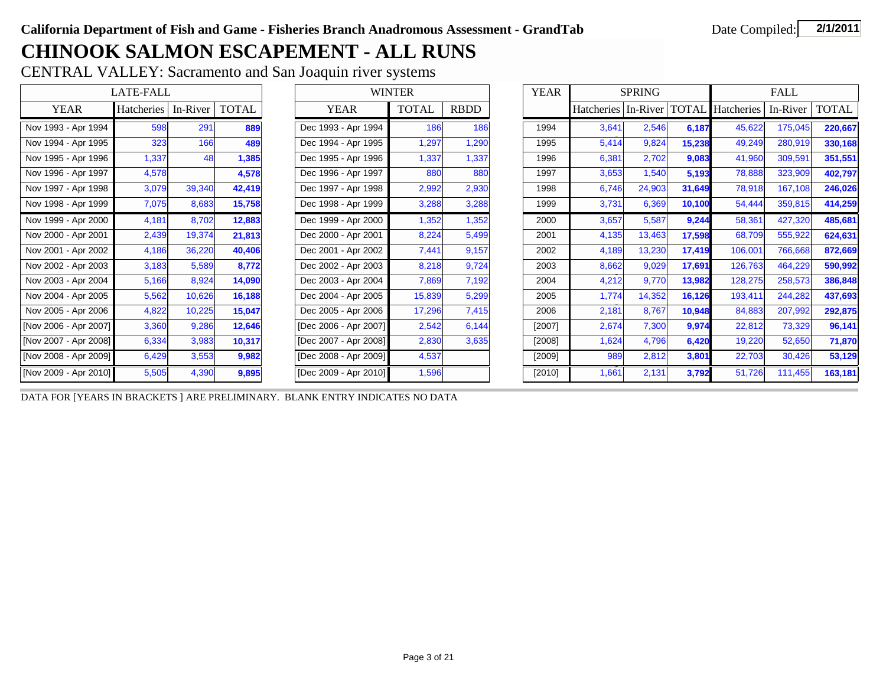## **CHINOOK SALMON ESCAPEMENT - ALL RUNS**

CENTRAL VALLEY: Sacramento and San Joaquin river systems

|                       | <b>LATE-FALL</b> |          |              |                       | <b>WINTER</b> |       | <b>YEAR</b> |                               | <b>SPRING</b> |        |            | <b>FALL</b> |              |
|-----------------------|------------------|----------|--------------|-----------------------|---------------|-------|-------------|-------------------------------|---------------|--------|------------|-------------|--------------|
| <b>YEAR</b>           | Hatcheries       | In-River | <b>TOTAL</b> | <b>YEAR</b>           | <b>TOTAL</b>  | RBDD  |             | Hatcheries   In-River   TOTAL |               |        | Hatcheries | In-River    | <b>TOTAL</b> |
| Nov 1993 - Apr 1994   | 598              | 291      | 889          | Dec 1993 - Apr 1994   | 186           | 186   | 1994        | 3,641                         | 2,546         | 6,187  | 45,622     | 175,045     | 220,667      |
| Nov 1994 - Apr 1995   | 323              | 166      | 489          | Dec 1994 - Apr 1995   | 1,297         | 1,290 | 1995        | 5,414                         | 9,824         | 15,238 | 49,249     | 280,919     | 330,168      |
| Nov 1995 - Apr 1996   | 1,337            | 48       | 1,385        | Dec 1995 - Apr 1996   | 1,337         | 1,337 | 1996        | 6,381                         | 2,702         | 9,083  | 41,960     | 309,591     | 351,551      |
| Nov 1996 - Apr 1997   | 4,578            |          | 4,578        | Dec 1996 - Apr 1997   | 880           | 880   | 1997        | 3,653                         | 1,540         | 5,193  | 78,888     | 323,909     | 402,797      |
| Nov 1997 - Apr 1998   | 3,079            | 39,340   | 42,419       | Dec 1997 - Apr 1998   | 2,992         | 2,930 | 1998        | 6,746                         | 24,903        | 31,649 | 78,918     | 167,108     | 246,026      |
| Nov 1998 - Apr 1999   | 7,075            | 8,683    | 15,758       | Dec 1998 - Apr 1999   | 3,288         | 3,288 | 1999        | 3,731                         | 6,369         | 10,100 | 54,444     | 359,815     | 414,259      |
| Nov 1999 - Apr 2000   | 4,181            | 8,702    | 12,883       | Dec 1999 - Apr 2000   | 1,352         | 1,352 | 2000        | 3,657                         | 5,587         | 9,244  | 58,361     | 427,320     | 485,681      |
| Nov 2000 - Apr 2001   | 2,439            | 19,374   | 21,813       | Dec 2000 - Apr 2001   | 8,224         | 5,499 | 2001        | 4,135                         | 13,463        | 17,598 | 68,709     | 555,922     | 624,631      |
| Nov 2001 - Apr 2002   | 4,186            | 36,220   | 40,406       | Dec 2001 - Apr 2002   | 7,441         | 9,157 | 2002        | 4,189                         | 13,230        | 17,419 | 106,001    | 766,668     | 872,669      |
| Nov 2002 - Apr 2003   | 3,183            | 5,589    | 8,772        | Dec 2002 - Apr 2003   | 8,218         | 9,724 | 2003        | 8,662                         | 9,029         | 17,691 | 126,763    | 464,229     | 590,992      |
| Nov 2003 - Apr 2004   | 5,166            | 8,924    | 14,090       | Dec 2003 - Apr 2004   | 7,869         | 7,192 | 2004        | 4,212                         | 9,770         | 13,982 | 128,275    | 258,573     | 386,848      |
| Nov 2004 - Apr 2005   | 5,562            | 10,626   | 16,188       | Dec 2004 - Apr 2005   | 15,839        | 5,299 | 2005        | 1,774                         | 14,352        | 16,126 | 193,411    | 244,282     | 437,693      |
| Nov 2005 - Apr 2006   | 4,822            | 10,225   | 15,047       | Dec 2005 - Apr 2006   | 17,296        | 7,415 | 2006        | 2,181                         | 8,767         | 10,948 | 84,883     | 207,992     | 292,875      |
| [Nov 2006 - Apr 2007] | 3,360            | 9,286    | 12,646       | [Dec 2006 - Apr 2007] | 2,542         | 6,144 | $[2007]$    | 2,674                         | 7,300         | 9,974  | 22,812     | 73,329      | 96,141       |
| [Nov 2007 - Apr 2008] | 6,334            | 3,983    | 10,317       | [Dec 2007 - Apr 2008] | 2,830         | 3,635 | $[2008]$    | 1,624                         | 4,796         | 6,420  | 19,220     | 52,650      | 71,870       |
| [Nov 2008 - Apr 2009] | 6,429            | 3,553    | 9,982        | [Dec 2008 - Apr 2009] | 4,537         |       | [2009]      | 989                           | 2,812         | 3,801  | 22,703     | 30,426      | 53,129       |
| [Nov 2009 - Apr 2010] | 5,505            | 4,390    | 9,895        | [Dec 2009 - Apr 2010] | 1,596         |       | $[2010]$    | 1,661                         | 2,131         | 3,792  | 51,726     | 111,455     | 163,181      |

DATA FOR [YEARS IN BRACKETS ] ARE PRELIMINARY. BLANK ENTRY INDICATES NO DATA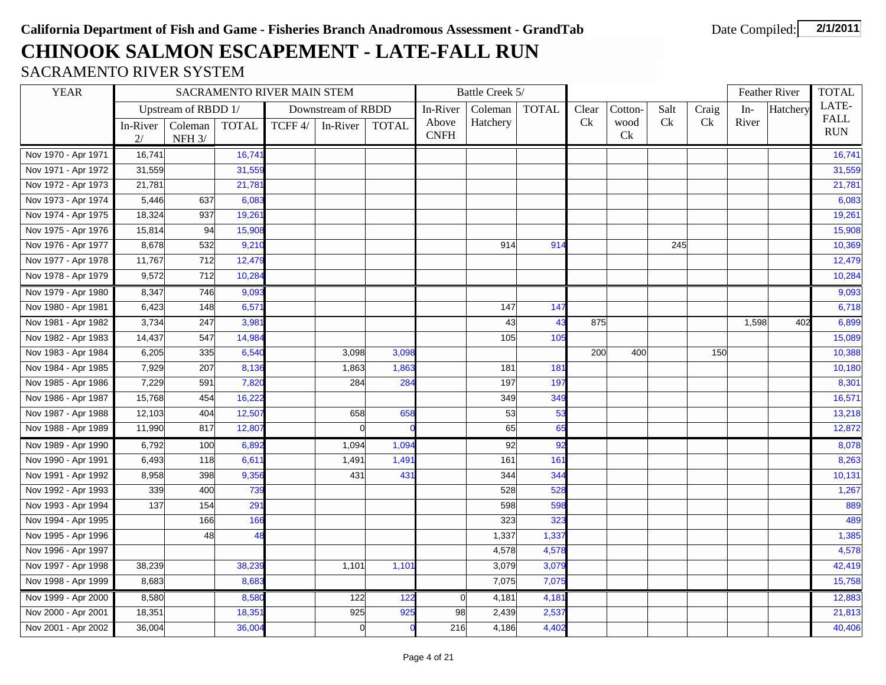# **CHINOOK SALMON ESCAPEMENT - LATE-FALL RUN**

### SACRAMENTO RIVER SYSTEM

| Upstream of RBDD 1/<br>Coleman<br>Salt<br>Craig<br>Downstream of RBDD<br>In-River<br><b>TOTAL</b><br>Clear<br>Cotton-<br>$In-$<br>Ck<br>Hatchery<br>Ck<br>Ck<br>River<br>Above<br>wood<br>In-River<br>Coleman   TOTAL<br>TCFF 4/<br><b>TOTAL</b><br>In-River<br><b>CNFH</b><br><b>Ck</b><br>NFH $3/$<br>2/<br>Nov 1970 - Apr 1971<br>16,741<br>16,74<br>31,559<br>31,559<br>Nov 1971 - Apr 1972<br>Nov 1972 - Apr 1973<br>21,781<br>21,781<br>Nov 1973 - Apr 1974<br>5,446<br>637<br>6,08 | Hatchery     | LATE-                     |
|-------------------------------------------------------------------------------------------------------------------------------------------------------------------------------------------------------------------------------------------------------------------------------------------------------------------------------------------------------------------------------------------------------------------------------------------------------------------------------------------|--------------|---------------------------|
|                                                                                                                                                                                                                                                                                                                                                                                                                                                                                           |              |                           |
|                                                                                                                                                                                                                                                                                                                                                                                                                                                                                           |              | <b>FALL</b><br><b>RUN</b> |
|                                                                                                                                                                                                                                                                                                                                                                                                                                                                                           |              |                           |
|                                                                                                                                                                                                                                                                                                                                                                                                                                                                                           |              | 16,741                    |
|                                                                                                                                                                                                                                                                                                                                                                                                                                                                                           |              | 31,559                    |
|                                                                                                                                                                                                                                                                                                                                                                                                                                                                                           |              | 21,781                    |
|                                                                                                                                                                                                                                                                                                                                                                                                                                                                                           |              | 6,083                     |
| Nov 1974 - Apr 1975<br>18,324<br>937<br>19,26                                                                                                                                                                                                                                                                                                                                                                                                                                             |              | 19,261                    |
| Nov 1975 - Apr 1976<br>15,814<br>94<br>15,90                                                                                                                                                                                                                                                                                                                                                                                                                                              |              | 15,908                    |
| Nov 1976 - Apr 1977<br>8,678<br>532<br>9,210<br>914<br>914<br>245                                                                                                                                                                                                                                                                                                                                                                                                                         |              | 10,369                    |
| Nov 1977 - Apr 1978<br>11,767<br>712<br>12,47                                                                                                                                                                                                                                                                                                                                                                                                                                             |              | 12,479                    |
| Nov 1978 - Apr 1979<br>9,572<br>712<br>10,28                                                                                                                                                                                                                                                                                                                                                                                                                                              |              | 10,284                    |
| 8,347<br>Nov 1979 - Apr 1980<br>746<br>9,093                                                                                                                                                                                                                                                                                                                                                                                                                                              |              | 9,093                     |
| Nov 1980 - Apr 1981<br>6,423<br>148<br>6,57<br>147<br>147                                                                                                                                                                                                                                                                                                                                                                                                                                 |              | 6,718                     |
| Nov 1981 - Apr 1982<br>3,734<br>247<br>3,98<br>43<br>875<br>43                                                                                                                                                                                                                                                                                                                                                                                                                            | 1,598<br>402 | 6,899                     |
| Nov 1982 - Apr 1983<br>105<br>14,437<br>547<br>14,98<br>105                                                                                                                                                                                                                                                                                                                                                                                                                               |              | 15,089                    |
| Nov 1983 - Apr 1984<br>6,205<br>335<br>6,54<br>3,098<br>400<br>3,098<br>200<br>150                                                                                                                                                                                                                                                                                                                                                                                                        |              | 10,388                    |
| Nov 1984 - Apr 1985<br>7,929<br>207<br>8,136<br>1,863<br>1,86<br>18 <sup>°</sup><br>181                                                                                                                                                                                                                                                                                                                                                                                                   |              | 10,180                    |
| Nov 1985 - Apr 1986<br>7,229<br>591<br>197<br>197<br>7,82<br>284<br>284                                                                                                                                                                                                                                                                                                                                                                                                                   |              | 8,301                     |
| Nov 1986 - Apr 1987<br>15,768<br>16,22<br>349<br>454<br>349                                                                                                                                                                                                                                                                                                                                                                                                                               |              | 16,571                    |
| Nov 1987 - Apr 1988<br>12,103<br>12,507<br>658<br>53<br>53<br>404<br>658                                                                                                                                                                                                                                                                                                                                                                                                                  |              | 13,218                    |
| $\overline{0}$<br>65<br>65<br>Nov 1988 - Apr 1989<br>11,990<br>817<br>12,80                                                                                                                                                                                                                                                                                                                                                                                                               |              | 12,872                    |
| Nov 1989 - Apr 1990<br>1,094<br>92<br>6,792<br>100<br>6,89<br>1,094<br>92                                                                                                                                                                                                                                                                                                                                                                                                                 |              | 8,078                     |
| 1,49<br>161<br>Nov 1990 - Apr 1991<br>6,493<br>118<br>6,61<br>1,491<br>161                                                                                                                                                                                                                                                                                                                                                                                                                |              | 8,263                     |
| 344<br>Nov 1991 - Apr 1992<br>9,35<br>8,958<br>398<br>431<br>43'<br>344                                                                                                                                                                                                                                                                                                                                                                                                                   |              | 10,131                    |
| 739<br>528<br>Nov 1992 - Apr 1993<br>339<br>400<br>528                                                                                                                                                                                                                                                                                                                                                                                                                                    |              | 1,267                     |
| 29'<br>Nov 1993 - Apr 1994<br>598<br>137<br>154<br>598                                                                                                                                                                                                                                                                                                                                                                                                                                    |              | 889                       |
| 166<br>323<br>Nov 1994 - Apr 1995<br>166<br>323                                                                                                                                                                                                                                                                                                                                                                                                                                           |              | 489                       |
| Nov 1995 - Apr 1996<br>48<br>48<br>1,337<br>1,33                                                                                                                                                                                                                                                                                                                                                                                                                                          |              | 1,385                     |
| Nov 1996 - Apr 1997<br>4,578<br>4,578                                                                                                                                                                                                                                                                                                                                                                                                                                                     |              | 4,578                     |
| Nov 1997 - Apr 1998<br>38,239<br>38,23<br>1,101<br>1,10'<br>3,079<br>3,079                                                                                                                                                                                                                                                                                                                                                                                                                |              | 42,419                    |
| Nov 1998 - Apr 1999<br>8,683<br>8,683<br>7,075<br>7,075                                                                                                                                                                                                                                                                                                                                                                                                                                   |              | 15,758                    |
| Nov 1999 - Apr 2000<br>8,580<br>122<br>122<br>8,580<br>$\overline{0}$<br>4,181<br>4,181                                                                                                                                                                                                                                                                                                                                                                                                   |              | 12,883                    |
| Nov 2000 - Apr 2001<br>925<br>925<br>2,53<br>18,351<br>18,35<br>98<br>2,439                                                                                                                                                                                                                                                                                                                                                                                                               |              | 21,813                    |
| $\mathbf 0$<br>4,402<br>Nov 2001 - Apr 2002<br>36,004<br>36,004<br>216<br>4,186                                                                                                                                                                                                                                                                                                                                                                                                           |              | 40,406                    |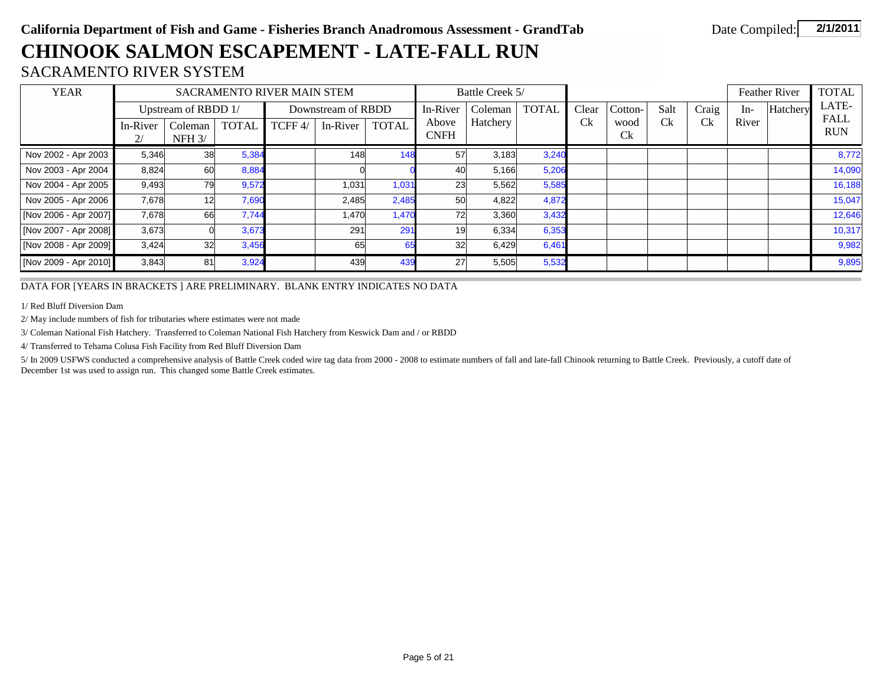## **CHINOOK SALMON ESCAPEMENT - LATE-FALL RUN**

### SACRAMENTO RIVER SYSTEM

| <b>YEAR</b>           |                |                     |              | SACRAMENTO RIVER MAIN STEM |                                |              |                      | Battle Creek 5/ |              |            |                   |            |       |       | <b>Feather River</b> | <b>TOTAL</b>              |
|-----------------------|----------------|---------------------|--------------|----------------------------|--------------------------------|--------------|----------------------|-----------------|--------------|------------|-------------------|------------|-------|-------|----------------------|---------------------------|
|                       |                | Upstream of RBDD 1/ |              |                            | Downstream of RBDD<br>In-River |              |                      | Coleman         | <b>TOTAL</b> | Clear      | Cotton-           | Salt       | Craig | $In-$ | Hatchery             | LATE-                     |
|                       | In-River<br>2/ | Coleman<br>$NFH$ 3/ | <b>TOTAL</b> | TCFF 4/                    | In-River                       | <b>TOTAL</b> | Above<br><b>CNFH</b> | Hatchery        |              | <b>C</b> k | wood<br><b>Ck</b> | <b>C</b> k | Ck    | River |                      | <b>FALL</b><br><b>RUN</b> |
| Nov 2002 - Apr 2003   | 5,346          | 38                  | 5,384        |                            | 148                            | 148          | 57                   | 3,183           | 3,240        |            |                   |            |       |       |                      | 8,772                     |
| Nov 2003 - Apr 2004   | 8,824          | 60                  | 8,884        |                            |                                |              | 40                   | 5,166           | 5,206        |            |                   |            |       |       |                      | 14,090                    |
| Nov 2004 - Apr 2005   | 9,493          | 79                  | 9,572        |                            | 1,031                          | 1,031        | 23                   | 5,562           | 5,585        |            |                   |            |       |       |                      | 16,188                    |
| Nov 2005 - Apr 2006   | 7,678          | 12 <sup>1</sup>     | 7,690        |                            | 2,485                          | 2,485        | 50                   | 4,822           | 4,872        |            |                   |            |       |       |                      | 15,047                    |
| [Nov 2006 - Apr 2007] | 7,678          | 66                  | 7,744        |                            | 1,470                          | 1,470        | 72                   | 3,360           | 3,432        |            |                   |            |       |       |                      | 12,646                    |
| [Nov 2007 - Apr 2008] | 3,673          |                     | 3,673        |                            | 291                            | 291          | 19                   | 6,334           | 6,353        |            |                   |            |       |       |                      | 10,317                    |
| [Nov 2008 - Apr 2009] | 3,424          | 32                  | 3,456        |                            | 65                             | 65           | 32                   | 6,429           | 6,461        |            |                   |            |       |       |                      | 9,982                     |
| [Nov 2009 - Apr 2010] | 3,843          | 81                  | 3,924        |                            | 439                            | 439          | 27                   | 5,505           | 5,532        |            |                   |            |       |       |                      | 9,895                     |

DATA FOR [YEARS IN BRACKETS ] ARE PRELIMINARY. BLANK ENTRY INDICATES NO DATA

1/ Red Bluff Diversion Dam

2/ May include numbers of fish for tributaries where estimates were not made

3/ Coleman National Fish Hatchery. Transferred to Coleman National Fish Hatchery from Keswick Dam and / or RBDD

4/ Transferred to Tehama Colusa Fish Facility from Red Bluff Diversion Dam

5/ In 2009 USFWS conducted a comprehensive analysis of Battle Creek coded wire tag data from 2000 - 2008 to estimate numbers of fall and late-fall Chinook returning to Battle Creek. Previously, a cutoff date of December 1st was used to assign run. This changed some Battle Creek estimates.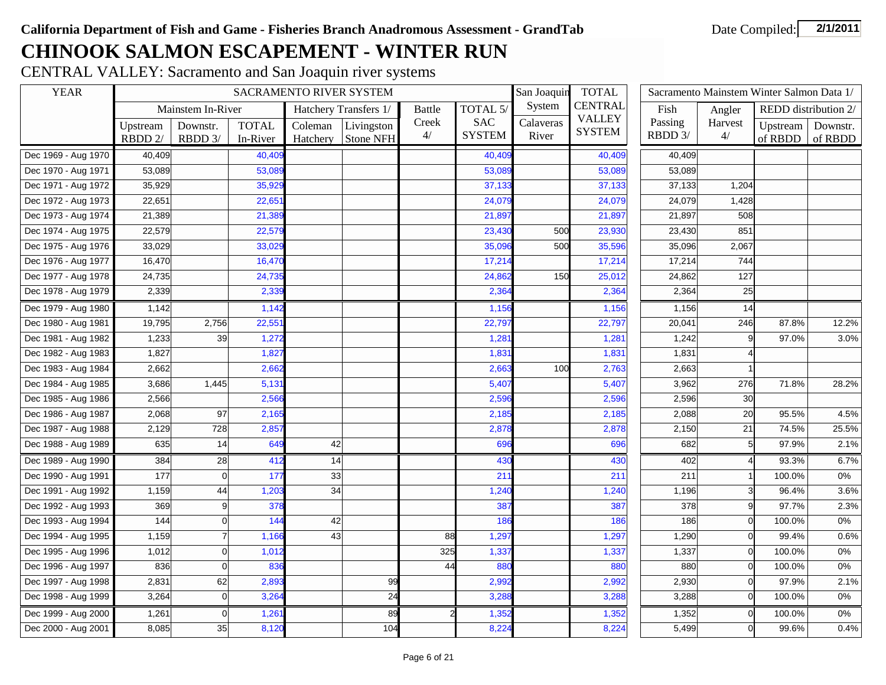## **CHINOOK SALMON ESCAPEMENT - WINTER RUN**

CENTRAL VALLEY: Sacramento and San Joaquin river systems

| <b>YEAR</b>         |          |                   |              | SACRAMENTO RIVER SYSTEM |                       |               |               | San Joaquin<br><b>TOTAL</b> |                                | Sacramento Mainstem Winter Salmon Data 1/ |                |         |                      |
|---------------------|----------|-------------------|--------------|-------------------------|-----------------------|---------------|---------------|-----------------------------|--------------------------------|-------------------------------------------|----------------|---------|----------------------|
|                     |          | Mainstem In-River |              |                         | Hatchery Transfers 1/ | <b>Battle</b> | TOTAL 5/      | System                      | <b>CENTRAL</b>                 | Fish                                      | Angler         |         | REDD distribution 2/ |
|                     | Upstream | Downstr.          | <b>TOTAL</b> | Coleman                 | Livingston            | Creek         | <b>SAC</b>    | Calaveras                   | <b>VALLEY</b><br><b>SYSTEM</b> | Passing                                   | Harvest        |         | Upstream   Downstr.  |
|                     | RBDD 2/  | RBDD 3/           | In-River     | Hatchery                | <b>Stone NFH</b>      | 4/            | <b>SYSTEM</b> | River                       |                                | RBDD 3/                                   | 4/             | of RBDD | of RBDD              |
| Dec 1969 - Aug 1970 | 40,409   |                   | 40,40        |                         |                       |               | 40,40         |                             | 40,409                         | 40,409                                    |                |         |                      |
| Dec 1970 - Aug 1971 | 53,089   |                   | 53,089       |                         |                       |               | 53,089        |                             | 53,089                         | 53,089                                    |                |         |                      |
| Dec 1971 - Aug 1972 | 35,929   |                   | 35,929       |                         |                       |               | 37,133        |                             | 37,133                         | 37,133                                    | 1,204          |         |                      |
| Dec 1972 - Aug 1973 | 22,651   |                   | 22,65'       |                         |                       |               | 24,079        |                             | 24,079                         | 24,079                                    | 1,428          |         |                      |
| Dec 1973 - Aug 1974 | 21,389   |                   | 21,389       |                         |                       |               | 21,897        |                             | 21,897                         | 21,897                                    | 508            |         |                      |
| Dec 1974 - Aug 1975 | 22,579   |                   | 22,57        |                         |                       |               | 23,43         | 500                         | 23,930                         | 23,430                                    | 851            |         |                      |
| Dec 1975 - Aug 1976 | 33,029   |                   | 33,029       |                         |                       |               | 35,096        | 500                         | 35,596                         | 35,096                                    | 2,067          |         |                      |
| Dec 1976 - Aug 1977 | 16,470   |                   | 16,470       |                         |                       |               | 17,214        |                             | 17,214                         | 17,214                                    | 744            |         |                      |
| Dec 1977 - Aug 1978 | 24,735   |                   | 24,73        |                         |                       |               | 24,862        | 150                         | 25,012                         | 24,862                                    | 127            |         |                      |
| Dec 1978 - Aug 1979 | 2,339    |                   | 2,339        |                         |                       |               | 2,364         |                             | 2,364                          | 2,364                                     | 25             |         |                      |
| Dec 1979 - Aug 1980 | 1,142    |                   | 1,142        |                         |                       |               | 1,156         |                             | 1,156                          | 1,156                                     | 14             |         |                      |
| Dec 1980 - Aug 1981 | 19,795   | 2,756             | 22,55'       |                         |                       |               | 22,797        |                             | 22,797                         | 20,041                                    | 246            | 87.8%   | 12.2%                |
| Dec 1981 - Aug 1982 | 1,233    | 39                | 1,272        |                         |                       |               | 1,28          |                             | 1,281                          | 1,242                                     | 9              | 97.0%   | 3.0%                 |
| Dec 1982 - Aug 1983 | 1,827    |                   | 1,827        |                         |                       |               | 1,83'         |                             | 1,831                          | 1,831                                     |                |         |                      |
| Dec 1983 - Aug 1984 | 2,662    |                   | 2,662        |                         |                       |               | 2,663         | 100                         | 2,763                          | 2,663                                     |                |         |                      |
| Dec 1984 - Aug 1985 | 3,686    | 1,445             | 5,131        |                         |                       |               | 5,407         |                             | 5,407                          | 3,962                                     | 276            | 71.8%   | 28.2%                |
| Dec 1985 - Aug 1986 | 2,566    |                   | 2,566        |                         |                       |               | 2,596         |                             | 2,596                          | 2,596                                     | 30             |         |                      |
| Dec 1986 - Aug 1987 | 2,068    | 97                | 2,165        |                         |                       |               | 2,185         |                             | 2,185                          | 2,088                                     | 20             | 95.5%   | 4.5%                 |
| Dec 1987 - Aug 1988 | 2,129    | 728               | 2,857        |                         |                       |               | 2,878         |                             | 2,878                          | 2,150                                     | 21             | 74.5%   | 25.5%                |
| Dec 1988 - Aug 1989 | 635      | 14                | 649          | 42                      |                       |               | 69            |                             | 696                            | 682                                       | 5 <sup>1</sup> | 97.9%   | 2.1%                 |
| Dec 1989 - Aug 1990 | 384      | 28                | 412          | 14                      |                       |               | 430           |                             | 430                            | 402                                       |                | 93.3%   | 6.7%                 |
| Dec 1990 - Aug 1991 | 177      | $\Omega$          | 177          | 33                      |                       |               | 21            |                             | 211                            | 211                                       |                | 100.0%  | $0\%$                |
| Dec 1991 - Aug 1992 | 1,159    | 44                | 1,203        | 34                      |                       |               | 1,240         |                             | 1,240                          | 1,196                                     | $\overline{3}$ | 96.4%   | 3.6%                 |
| Dec 1992 - Aug 1993 | 369      | $\mathbf{Q}$      | 378          |                         |                       |               | 387           |                             | 387                            | 378                                       | $\mathsf{q}$   | 97.7%   | 2.3%                 |
| Dec 1993 - Aug 1994 | 144      | $\Omega$          | 144          | 42                      |                       |               | 186           |                             | 186                            | 186                                       | $\Omega$       | 100.0%  | 0%                   |
| Dec 1994 - Aug 1995 | 1,159    |                   | 1,166        | 43                      |                       | 88            | 1,29          |                             | 1,297                          | 1,290                                     | $\Omega$       | 99.4%   | 0.6%                 |
| Dec 1995 - Aug 1996 | 1,012    | $\Omega$          | 1,012        |                         |                       | 325           | 1,337         |                             | 1,337                          | 1,337                                     | $\Omega$       | 100.0%  | 0%                   |
| Dec 1996 - Aug 1997 | 836      | $\Omega$          | 836          |                         |                       | 44            | 880           |                             | 880                            | 880                                       | $\Omega$       | 100.0%  | $0\%$                |
| Dec 1997 - Aug 1998 | 2,831    | 62                | 2,893        |                         | 99                    |               | 2,992         |                             | 2,992                          | 2,930                                     | $\Omega$       | 97.9%   | 2.1%                 |
| Dec 1998 - Aug 1999 | 3,264    | $\mathbf 0$       | 3,26         |                         | 24                    |               | 3,288         |                             | 3,288                          | 3,288                                     | $\overline{0}$ | 100.0%  | 0%                   |
| Dec 1999 - Aug 2000 | 1,261    | $\mathbf 0$       | 1,261        |                         | 89                    |               | 1,352         |                             | 1,352                          | 1,352                                     | $\Omega$       | 100.0%  | 0%                   |
| Dec 2000 - Aug 2001 | 8,085    | 35                | 8,120        |                         | 104                   |               | 8,22          |                             | 8,224                          | 5,499                                     | $\Omega$       | 99.6%   | 0.4%                 |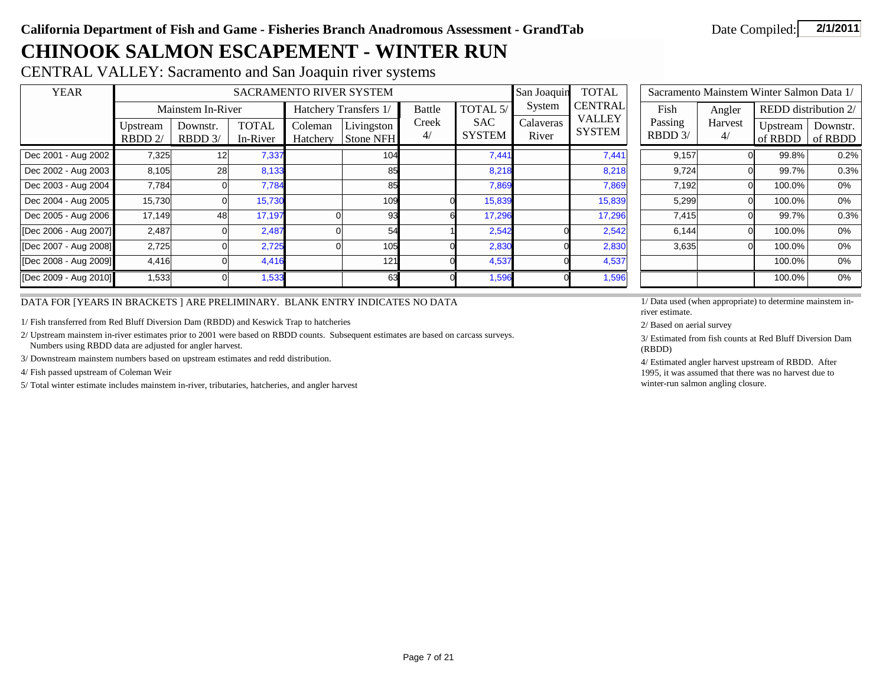## **CHINOOK SALMON ESCAPEMENT - WINTER RUN**

CENTRAL VALLEY: Sacramento and San Joaquin river systems

| <b>YEAR</b>           |                    |                       |                          |                     | SACRAMENTO RIVER SYSTEM |             |                             | San Joaquin        | <b>TOTAL</b>                   | Sacramento Mainstem Winter Salmon Data 1/ |         |                     |                      |  |  |  |
|-----------------------|--------------------|-----------------------|--------------------------|---------------------|-------------------------|-------------|-----------------------------|--------------------|--------------------------------|-------------------------------------------|---------|---------------------|----------------------|--|--|--|
|                       |                    | Mainstem In-River     |                          |                     | Hatchery Transfers 1/   | Battle      | TOTAL 5/                    | System             | <b>CENTRAL</b>                 | Fish                                      | Angler  |                     | REDD distribution 2/ |  |  |  |
|                       | Upstream<br>RBDD2/ | Downstr.<br>$RBDD$ 3/ | <b>TOTAL</b><br>In-River | Coleman<br>Hatchery | Livingston<br>Stone NFH | Creek<br>4/ | <b>SAC</b><br><b>SYSTEM</b> | Calaveras<br>River | <b>VALLEY</b><br><b>SYSTEM</b> | Passing<br>RBDD 3/                        | Harvest | Upstream<br>of RBDD | Downstr.<br>of RBDD  |  |  |  |
| Dec 2001 - Aug 2002   | 7,325              | 12                    | 7,337                    |                     | 104                     |             | 7,441                       |                    | 7,441                          | 9,157                                     |         | 99.8%               | 0.2%                 |  |  |  |
| Dec 2002 - Aug 2003   | 8,105              | 28                    | 8,133                    |                     | 85                      |             | 8,218                       |                    | 8,218                          | 9,724                                     |         | 99.7%               | 0.3%                 |  |  |  |
| Dec 2003 - Aug 2004   | 7,784              |                       | 7,784                    |                     | 85                      |             | 7,869                       |                    | 7,869                          | 7,192                                     |         | 100.0%              | 0%                   |  |  |  |
| Dec 2004 - Aug 2005   | 15,730             |                       | 15,730                   |                     | 109                     |             | 15,839                      |                    | 15,839                         | 5,299                                     |         | 100.0%              | 0%                   |  |  |  |
| Dec 2005 - Aug 2006   | 17,149             | 48                    | 17,197                   |                     | 93                      |             | 17,296                      |                    | 17,296                         | 7,415                                     |         | 99.7%               | 0.3%                 |  |  |  |
| [Dec 2006 - Aug 2007] | 2,487              |                       | 2,487                    |                     | 54                      |             | 2,542                       |                    | 2,542                          | 6,144                                     |         | 100.0%              | 0%                   |  |  |  |
| [Dec 2007 - Aug 2008] | 2,725              |                       | 2,725                    |                     | 105                     |             | 2,830                       |                    | 2,830                          | 3,635                                     |         | 100.0%              | 0%                   |  |  |  |
| [Dec 2008 - Aug 2009] | 4,416              |                       | 4,416                    |                     | 121                     |             | 4,537                       |                    | 4,537                          |                                           |         | 100.0%              | 0%                   |  |  |  |
| [Dec 2009 - Aug 2010] | 1,533              |                       | 1,533                    |                     | 63                      |             | 1,596                       |                    | 1,596                          |                                           |         | 100.0%              | 0%                   |  |  |  |

|                    | Sacramento Mainstem Winter Salmon Data 1/ |                     |                      |
|--------------------|-------------------------------------------|---------------------|----------------------|
| Fish               | Angler                                    |                     | REDD distribution 2/ |
| Passing<br>RBDD 3/ | Harvest<br>4/                             | Upstream<br>of RBDD | Downstr.<br>of RBDD  |
| 9,157              | 0                                         | 99.8%               | 0.2%                 |
| 9,724              | 0                                         | 99.7%               | 0.3%                 |
| 7,192              | 0                                         | 100.0%              | $0\%$                |
| 5,299              | ი                                         | 100.0%              | 0%                   |
| 7,415              | 0                                         | 99.7%               | 0.3%                 |
| 6,144              | ი                                         | 100.0%              | $0\%$                |
| 3,635              | 0                                         | 100.0%              | 0%                   |
|                    |                                           | 100.0%              | $0\%$                |
|                    |                                           | 100.0%              | 0%                   |

DATA FOR [YEARS IN BRACKETS ] ARE PRELIMINARY. BLANK ENTRY INDICATES NO DATA

1/ Fish transferred from Red Bluff Diversion Dam (RBDD) and Keswick Trap to hatcheries

2/ Upstream mainstem in-river estimates prior to 2001 were based on RBDD counts. Subsequent estimates are based on carcass surveys. Numbers using RBDD data are adjusted for angler harvest.

3/ Downstream mainstem numbers based on upstream estimates and redd distribution.

4/ Fish passed upstream of Coleman Weir

5/ Total winter estimate includes mainstem in-river, tributaries, hatcheries, and angler harvest

1/ Data used (when appropriate) to determine mainstem inriver estimate.

2/ Based on aerial survey

3/ Estimated from fish counts at Red Bluff Diversion Dam (RBDD)

4/ Estimated angler harvest upstream of RBDD. After 1995, it was assumed that there was no harvest due to winter-run salmon angling closure.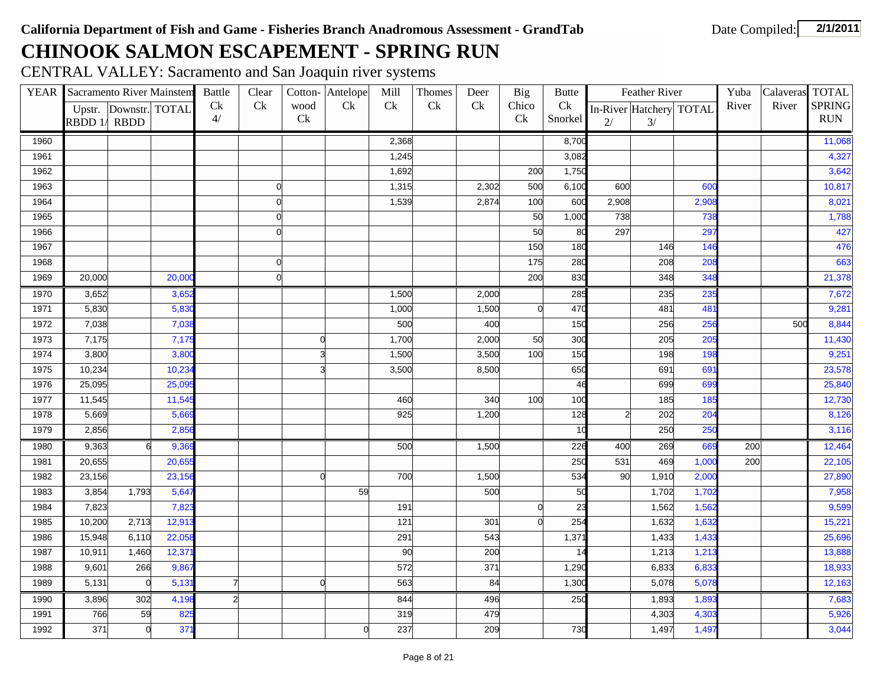## **CHINOOK SALMON ESCAPEMENT - SPRING RUN**

CENTRAL VALLEY: Sacramento and San Joaquin river systems

|      | <b>YEAR</b> Sacramento River Mainstem |                       |        | <b>Battle</b>  | Clear        |             | Cotton-Antelope | Mill  | Thomes | Deer  | Big            | <b>Butte</b> |                | Feather River           |                 | Yuba  | Calaveras TOTAL |               |
|------|---------------------------------------|-----------------------|--------|----------------|--------------|-------------|-----------------|-------|--------|-------|----------------|--------------|----------------|-------------------------|-----------------|-------|-----------------|---------------|
|      |                                       | Upstr. Downstr. TOTAL |        | Ck             | Ck           | wood        | Ck              | Ck    | Ck     | Ck    | Chico          | Ck           |                | In-River Hatchery TOTAL |                 | River | River           | <b>SPRING</b> |
|      | RBDD 1/RBDD                           |                       |        | 4/             |              | Ck          |                 |       |        |       | Ck             | Snorkel      | 2/             | 3/                      |                 |       |                 | <b>RUN</b>    |
| 1960 |                                       |                       |        |                |              |             |                 | 2,368 |        |       |                | 8,700        |                |                         |                 |       |                 | 11,068        |
| 1961 |                                       |                       |        |                |              |             |                 | 1,245 |        |       |                | 3,082        |                |                         |                 |       |                 | 4,327         |
| 1962 |                                       |                       |        |                |              |             |                 | 1,692 |        |       | 200            | 1,750        |                |                         |                 |       |                 | 3,642         |
| 1963 |                                       |                       |        |                | $\mathbf{0}$ |             |                 | 1,315 |        | 2,302 | 500            | 6,100        | 600            |                         | 600             |       |                 | 10,817        |
| 1964 |                                       |                       |        |                | $\mathbf{0}$ |             |                 | 1,539 |        | 2,874 | 100            | 600          | 2,908          |                         | 2,908           |       |                 | 8,021         |
| 1965 |                                       |                       |        |                | $\mathbf{0}$ |             |                 |       |        |       | 50             | 1,000        | 738            |                         | 738             |       |                 | 1,788         |
| 1966 |                                       |                       |        |                | $\Omega$     |             |                 |       |        |       | 50             | 80           | 297            |                         | 297             |       |                 | 427           |
| 1967 |                                       |                       |        |                |              |             |                 |       |        |       | 150            | 180          |                | 146                     | 146             |       |                 | 476           |
| 1968 |                                       |                       |        |                | $\mathbf{0}$ |             |                 |       |        |       | 175            | 280          |                | 208                     | 208             |       |                 | 663           |
| 1969 | 20,000                                |                       | 20,00  |                | $\Omega$     |             |                 |       |        |       | 200            | 830          |                | 348                     | 348             |       |                 | 21,378        |
| 1970 | 3,652                                 |                       | 3,652  |                |              |             |                 | 1,500 |        | 2,000 |                | 285          |                | 235                     | 235             |       |                 | 7,672         |
| 1971 | 5,830                                 |                       | 5,83   |                |              |             |                 | 1,000 |        | 1,500 | $\mathsf{d}$   | 470          |                | 481                     | 481             |       |                 | 9,281         |
| 1972 | 7,038                                 |                       | 7,03   |                |              |             |                 | 500   |        | 400   |                | 150          |                | 256                     | 256             |       | 500             | 8,844         |
| 1973 | 7,175                                 |                       | 7,175  |                |              | $\mathbf 0$ |                 | 1,700 |        | 2,000 | 50             | 300          |                | 205                     | 205             |       |                 | 11,430        |
| 1974 | 3,800                                 |                       | 3,800  |                |              | 3           |                 | 1,500 |        | 3,500 | 100            | 150          |                | 198                     | 198             |       |                 | 9,251         |
| 1975 | 10,234                                |                       | 10,23  |                |              | з           |                 | 3,500 |        | 8,500 |                | 650          |                | 691                     | 691             |       |                 | 23,578        |
| 1976 | 25,095                                |                       | 25,09  |                |              |             |                 |       |        |       |                | 46           |                | 699                     | 699             |       |                 | 25,840        |
| 1977 | 11,545                                |                       | 11,54  |                |              |             |                 | 460   |        | 340   | 100            | 100          |                | 185                     | 185             |       |                 | 12,730        |
| 1978 | 5,669                                 |                       | 5,66   |                |              |             |                 | 925   |        | 1,200 |                | 128          | $\overline{a}$ | 202                     | 20 <sup>2</sup> |       |                 | 8,126         |
| 1979 | 2,856                                 |                       | 2,856  |                |              |             |                 |       |        |       |                | 10           |                | 250                     | 25C             |       |                 | 3,116         |
| 1980 | 9,363                                 | 6                     | 9,36   |                |              |             |                 | 500   |        | 1,500 |                | 226          | 400            | 269                     | 669             | 200   |                 | 12,464        |
| 1981 | 20,655                                |                       | 20,65  |                |              |             |                 |       |        |       |                | 250          | 531            | 469                     | 1,000           | 200   |                 | 22,105        |
| 1982 | 23,156                                |                       | 23,156 |                |              | $\Omega$    |                 | 700   |        | 1,500 |                | 534          | 90             | 1,910                   | 2,000           |       |                 | 27,890        |
| 1983 | 3,854                                 | 1,793                 | 5,64   |                |              |             | 59              |       |        | 500   |                | 50           |                | 1,702                   | 1,702           |       |                 | 7,958         |
| 1984 | 7,823                                 |                       | 7,82   |                |              |             |                 | 191   |        |       | $\overline{0}$ | 23           |                | 1,562                   | 1,562           |       |                 | 9,599         |
| 1985 | 10,200                                | 2,713                 | 12,91  |                |              |             |                 | 121   |        | 301   | $\Omega$       | 254          |                | 1,632                   | 1,632           |       |                 | 15,221        |
| 1986 | 15,948                                | 6,110                 | 22,05  |                |              |             |                 | 291   |        | 543   |                | 1,371        |                | 1,433                   | 1,433           |       |                 | 25,696        |
| 1987 | 10,911                                | 1,460                 | 12,37  |                |              |             |                 | 90    |        | 200   |                | 14           |                | 1,213                   | 1,213           |       |                 | 13,888        |
| 1988 | 9,601                                 | 266                   | 9,86   |                |              |             |                 | 572   |        | 371   |                | 1,290        |                | 6,833                   | 6,833           |       |                 | 18,933        |
| 1989 | 5,131                                 | $\overline{0}$        | 5,13   | $\overline{7}$ |              | $\mathbf 0$ |                 | 563   |        | 84    |                | 1,300        |                | 5,078                   | 5,078           |       |                 | 12,163        |
| 1990 | 3,896                                 | 302                   | 4,198  | $\overline{2}$ |              |             |                 | 844   |        | 496   |                | 250          |                | 1,893                   | 1,893           |       |                 | 7,683         |
| 1991 | 766                                   | 59                    | 825    |                |              |             |                 | 319   |        | 479   |                |              |                | 4,303                   | 4,303           |       |                 | 5,926         |
| 1992 | 371                                   | $\mathsf{d}$          | 37'    |                |              |             | $\Omega$        | 237   |        | 209   |                | 730          |                | 1,497                   | 1,497           |       |                 | 3,044         |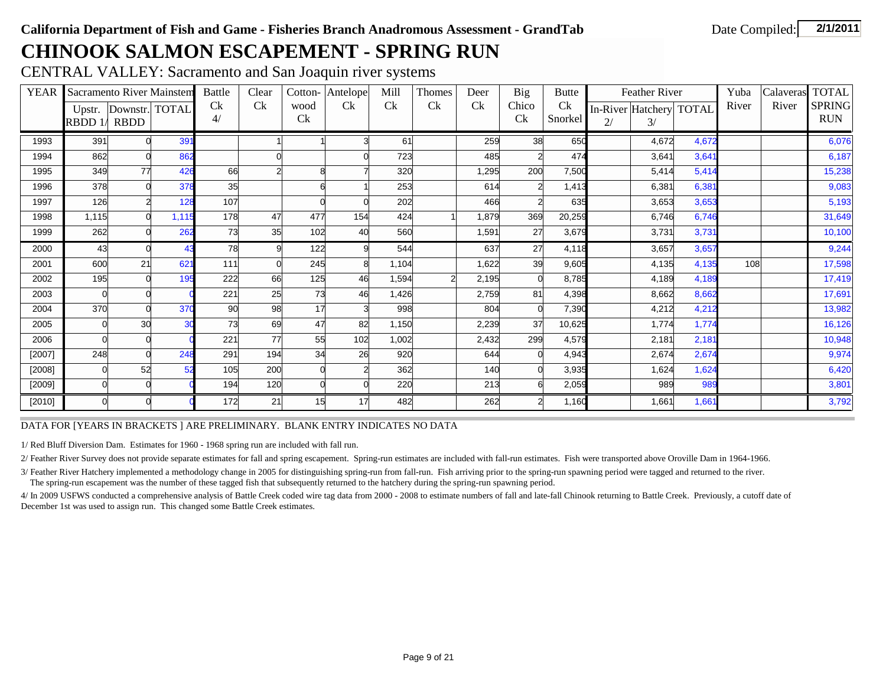## **CHINOOK SALMON ESCAPEMENT - SPRING RUN**

CENTRAL VALLEY: Sacramento and San Joaquin river systems

| <b>YEAR</b> |         | <b>Sacramento River Mainstem</b> |                 | <b>Battle</b> | Clear | Cotton- | Antelope | Mill  | Thomes | Deer  | <b>Big</b>     | <b>Butte</b> |    | Feather River           |       | Yuba  | Calaveras | <b>TOTAL</b>  |
|-------------|---------|----------------------------------|-----------------|---------------|-------|---------|----------|-------|--------|-------|----------------|--------------|----|-------------------------|-------|-------|-----------|---------------|
|             |         | Upstr. Downstr. TOTAL            |                 | <b>C</b> k    | Ck    | wood    | Ck       | Ck    | Ck     | Ck    | Chico          | Ck           |    | In-River Hatchery TOTAL |       | River | River     | <b>SPRING</b> |
|             | RBDD 1/ | <b>RBDD</b>                      |                 | 4/            |       | Ck      |          |       |        |       | Ck             | Snorkel      | 2/ | 3/                      |       |       |           | <b>RUN</b>    |
| 1993        | 391     |                                  | 39 <sup>′</sup> |               |       |         |          | 61    |        | 259   | 38             | 650          |    | 4,672                   | 4,672 |       |           | 6,076         |
| 1994        | 862     |                                  | 862             |               |       |         |          | 723   |        | 485   | 2              | 474          |    | 3,641                   | 3,641 |       |           | 6,187         |
| 1995        | 349     | 77                               | 426             | 66            |       | 8       |          | 320   |        | 1,295 | 200            | 7,500        |    | 5,414                   | 5,414 |       |           | 15,238        |
| 1996        | 378     |                                  | 378             | 35            |       |         |          | 253   |        | 614   | $\overline{2}$ | 1,413        |    | 6,381                   | 6,381 |       |           | 9,083         |
| 1997        | 126     |                                  | 128             | 107           |       |         |          | 202   |        | 466   | $\overline{2}$ | 635          |    | 3,653                   | 3,653 |       |           | 5,193         |
| 1998        | 1,115   |                                  | 1,115           | 178           | 47    | 477     | 154      | 424   |        | 1,879 | 369            | 20,259       |    | 6,746                   | 6,746 |       |           | 31,649        |
| 1999        | 262     |                                  | 262             | 73            | 35    | 102     | 40       | 560   |        | 1,591 | 27             | 3,679        |    | 3,731                   | 3,731 |       |           | 10,100        |
| 2000        | 43      |                                  | 43              | 78            | 9     | 122     |          | 544   |        | 637   | 27             | 4,118        |    | 3,657                   | 3,657 |       |           | 9,244         |
| 2001        | 600     | 21                               | 62'             | 111           |       | 245     |          | 1,104 |        | 1,622 | 39             | 9,605        |    | 4,135                   | 4,135 | 108   |           | 17,598        |
| 2002        | 195     |                                  | 195             | 222           | 66    | 125     | 46       | 1,594 |        | 2,195 | $\Omega$       | 8,785        |    | 4,189                   | 4,189 |       |           | 17,419        |
| 2003        |         |                                  |                 | 221           | 25    | 73      | 46       | 1,426 |        | 2,759 | 81             | 4,398        |    | 8,662                   | 8,662 |       |           | 17,691        |
| 2004        | 370     |                                  | 37 <sub>0</sub> | 90            | 98    | 17      |          | 998   |        | 804   | $\Omega$       | 7,390        |    | 4,212                   | 4,212 |       |           | 13,982        |
| 2005        |         | 30                               | 30              | 73            | 69    | 47      | 82       | 1,150 |        | 2,239 | 37             | 10,625       |    | 1,774                   | 1,774 |       |           | 16,126        |
| 2006        |         |                                  |                 | 221           | 77    | 55      | 102      | 1,002 |        | 2,432 | 299            | 4,579        |    | 2,181                   | 2,181 |       |           | 10,948        |
| $[2007]$    | 248     |                                  | 248             | 291           | 194   | 34      | 26       | 920   |        | 644   | $\overline{0}$ | 4,943        |    | 2,674                   | 2,674 |       |           | 9,974         |
| [2008]      |         | 52                               | 52              | 105           | 200   |         |          | 362   |        | 140   | $\Omega$       | 3,935        |    | 1,624                   | 1,624 |       |           | 6,420         |
| [2009]      |         |                                  |                 | 194           | 120   |         |          | 220   |        | 213   | 6              | 2,059        |    | 989                     | 989   |       |           | 3,801         |
| [2010]      |         |                                  |                 | 172           | 21    | 15      | 17       | 482   |        | 262   | 2              | 1,160        |    | 1,661                   | 1,661 |       |           | 3,792         |

#### DATA FOR [YEARS IN BRACKETS ] ARE PRELIMINARY. BLANK ENTRY INDICATES NO DATA

1/ Red Bluff Diversion Dam. Estimates for 1960 - 1968 spring run are included with fall run.

2/ Feather River Survey does not provide separate estimates for fall and spring escapement. Spring-run estimates are included with fall-run estimates. Fish were transported above Oroville Dam in 1964-1966.

3/ Feather River Hatchery implemented a methodology change in 2005 for distinguishing spring-run from fall-run. Fish arriving prior to the spring-run spawning period were tagged and returned to the river. The spring-run escapement was the number of these tagged fish that subsequently returned to the hatchery during the spring-run spawning period.

4/ In 2009 USFWS conducted a comprehensive analysis of Battle Creek coded wire tag data from 2000 - 2008 to estimate numbers of fall and late-fall Chinook returning to Battle Creek. Previously, a cutoff date of December 1st was used to assign run. This changed some Battle Creek estimates.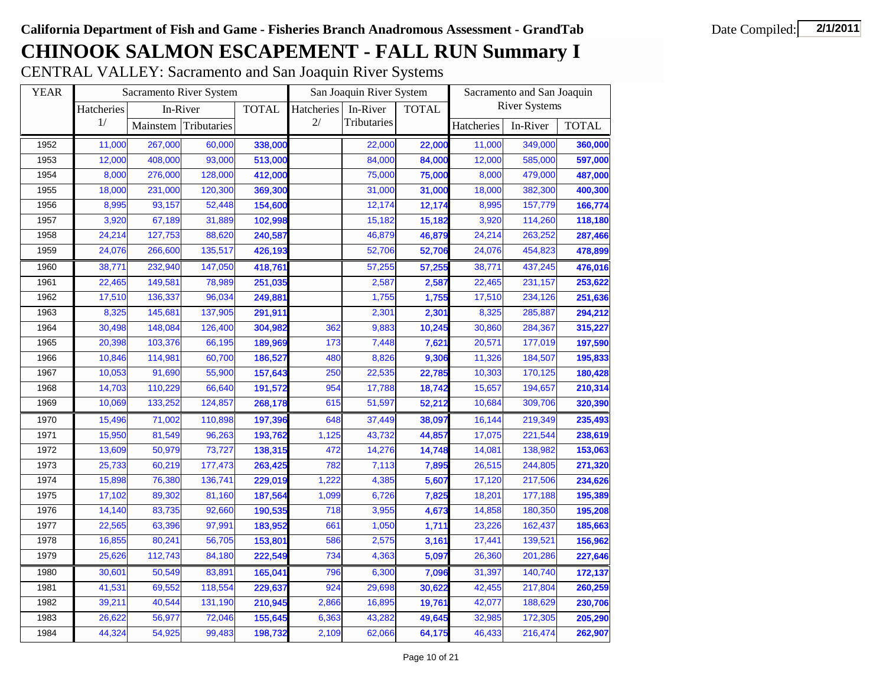# **CHINOOK SALMON ESCAPEMENT - FALL RUN Summary I**

CENTRAL VALLEY: Sacramento and San Joaquin River Systems

| <b>YEAR</b> |            |          | Sacramento River System |              |            | San Joaquin River System |              | Sacramento and San Joaquin |                      |              |  |
|-------------|------------|----------|-------------------------|--------------|------------|--------------------------|--------------|----------------------------|----------------------|--------------|--|
|             | Hatcheries |          | In-River                | <b>TOTAL</b> | Hatcheries | In-River                 | <b>TOTAL</b> |                            | <b>River Systems</b> |              |  |
|             | 1/         | Mainstem | Tributaries<br>60,000   |              | 2/         | Tributaries              |              | Hatcheries                 | In-River             | <b>TOTAL</b> |  |
| 1952        | 11,000     | 267,000  |                         | 338,000      |            | 22,000                   | 22,000       | 11,000                     | 349,000              | 360,000      |  |
| 1953        | 12,000     | 408,000  | 93,000                  | 513,000      |            | 84,000                   | 84,000       | 12,000                     | 585,000              | 597,000      |  |
| 1954        | 8,000      | 276,000  | 128,000                 | 412,000      |            | 75,000                   | 75,000       | 8,000                      | 479,000              | 487,000      |  |
| 1955        | 18,000     | 231,000  | 120,300                 | 369,300      |            | 31,000                   | 31,000       | 18,000                     | 382,300              | 400,300      |  |
| 1956        | 8,995      | 93,157   | 52,448                  | 154,600      |            | 12,174                   | 12,174       | 8,995                      | 157,779              | 166,774      |  |
| 1957        | 3,920      | 67,189   | 31,889                  | 102,998      |            | 15,182                   | 15,182       | 3,920                      | 114,260              | 118,180      |  |
| 1958        | 24,214     | 127,753  | 88,620                  | 240,587      |            | 46,879                   | 46,879       | 24,214                     | 263,252              | 287,466      |  |
| 1959        | 24,076     | 266,600  | 135,517                 | 426,193      |            | 52,706                   | 52,706       | 24,076                     | 454,823              | 478,899      |  |
| 1960        | 38,771     | 232,940  | 147,050                 | 418,761      |            | 57,255                   | 57,255       | 38,771                     | 437,245              | 476,016      |  |
| 1961        | 22,465     | 149,581  | 78,989                  | 251,035      |            | 2,587                    | 2,587        | 22,465                     | 231,157              | 253,622      |  |
| 1962        | 17,510     | 136,337  | 96,034                  | 249,881      |            | 1,755                    | 1,755        | 17,510                     | 234,126              | 251,636      |  |
| 1963        | 8,325      | 145,681  | 137,905                 | 291,911      |            | 2,301                    | 2,301        | 8,325                      | 285,887              | 294,212      |  |
| 1964        | 30,498     | 148,084  | 126,400                 | 304,982      | 362        | 9,883                    | 10,245       | 30,860                     | 284,367              | 315,227      |  |
| 1965        | 20,398     | 103,376  | 66,195                  | 189,969      | 173        | 7,448                    | 7,621        | 20,571                     | 177,019              | 197,590      |  |
| 1966        | 10,846     | 114,981  | 60,700                  | 186,527      | 480        | 8,826                    | 9,306        | 11,326                     | 184,507              | 195,833      |  |
| 1967        | 10,053     | 91,690   | 55,900                  | 157,643      | 250        | 22,535                   | 22,785       | 10,303                     | 170,125              | 180,428      |  |
| 1968        | 14,703     | 110,229  | 66,640                  | 191,572      | 954        | 17,788                   | 18,742       | 15,657                     | 194,657              | 210,314      |  |
| 1969        | 10,069     | 133,252  | 124,857                 | 268,178      | 615        | 51,597                   | 52,212       | 10,684                     | 309,706              | 320,390      |  |
| 1970        | 15,496     | 71,002   | 110,898                 | 197,396      | 648        | 37,449                   | 38,097       | 16,144                     | 219,349              | 235,493      |  |
| 1971        | 15,950     | 81,549   | 96,263                  | 193,762      | 1,125      | 43,732                   | 44,857       | 17,075                     | 221,544              | 238,619      |  |
| 1972        | 13,609     | 50,979   | 73,727                  | 138,315      | 472        | 14,276                   | 14,748       | 14,081                     | 138,982              | 153,063      |  |
| 1973        | 25,733     | 60,219   | 177,473                 | 263,425      | 782        | 7,113                    | 7,895        | 26,515                     | 244,805              | 271,320      |  |
| 1974        | 15,898     | 76,380   | 136,741                 | 229,019      | 1,222      | 4,385                    | 5,607        | 17,120                     | 217,506              | 234,626      |  |
| 1975        | 17,102     | 89,302   | 81,160                  | 187,564      | 1,099      | 6,726                    | 7,825        | 18,201                     | 177,188              | 195,389      |  |
| 1976        | 14,140     | 83,735   | 92,660                  | 190,535      | 718        | 3,955                    | 4,673        | 14,858                     | 180,350              | 195,208      |  |
| 1977        | 22,565     | 63,396   | 97,991                  | 183,952      | 661        | 1,050                    | 1,711        | 23,226                     | 162,437              | 185,663      |  |
| 1978        | 16,855     | 80,241   | 56,705                  | 153,801      | 586        | 2,575                    | 3,161        | 17,441                     | 139,521              | 156,962      |  |
| 1979        | 25,626     | 112,743  | 84,180                  | 222,549      | 734        | 4,363                    | 5,097        | 26,360                     | 201,286              | 227,646      |  |
| 1980        | 30,601     | 50,549   | 83,891                  | 165,041      | 796        | 6,300                    | 7,096        | 31,397                     | 140,740              | 172,137      |  |
| 1981        | 41,531     | 69,552   | 118,554                 | 229,637      | 924        | 29,698                   | 30,622       | 42,455                     | 217,804              | 260,259      |  |
| 1982        | 39,211     | 40,544   | 131,190                 | 210,945      | 2,866      | 16,895                   | 19,761       | 42,077                     | 188,629              | 230,706      |  |
| 1983        | 26,622     | 56,977   | 72,046                  | 155,645      | 6,363      | 43,282                   | 49,645       | 32,985                     | 172,305              | 205,290      |  |
| 1984        | 44,324     | 54,925   | 99,483                  | 198,732      | 2,109      | 62,066                   | 64,175       | 46,433                     | 216,474              | 262,907      |  |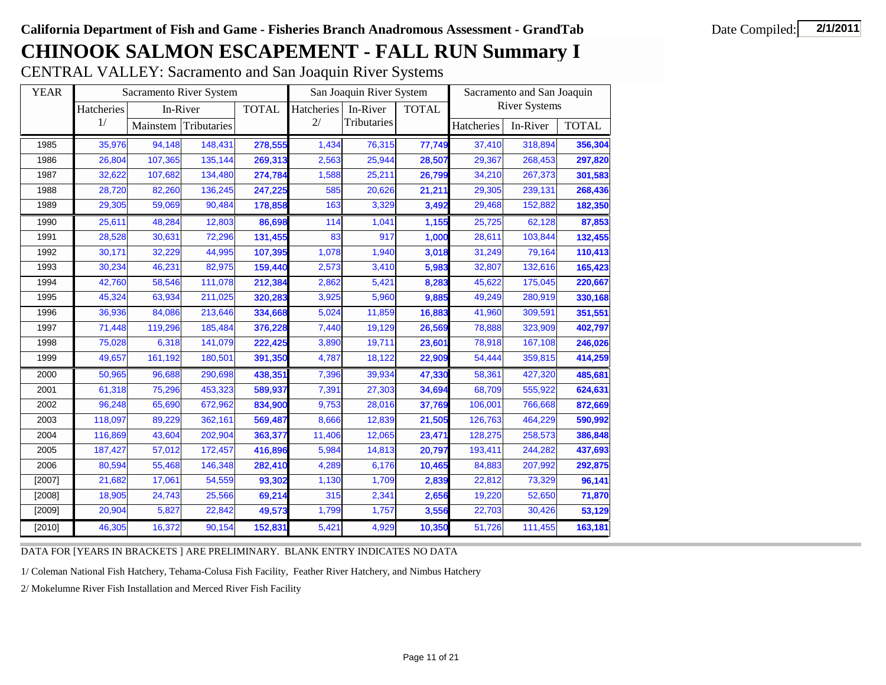# **CHINOOK SALMON ESCAPEMENT - FALL RUN Summary I**

CENTRAL VALLEY: Sacramento and San Joaquin River Systems

| <b>YEAR</b> |            |          | Sacramento River System |              |            | San Joaquin River System |              |            | Sacramento and San Joaquin |              |
|-------------|------------|----------|-------------------------|--------------|------------|--------------------------|--------------|------------|----------------------------|--------------|
|             | Hatcheries | In-River |                         | <b>TOTAL</b> | Hatcheries | In-River                 | <b>TOTAL</b> |            | <b>River Systems</b>       |              |
|             | 1/         | Mainstem | Tributaries             |              | 2/         | Tributaries              |              | Hatcheries | In-River                   | <b>TOTAL</b> |
| 1985        | 35,976     | 94,148   | 148,431                 | 278,555      | 1.434      | 76,315                   | 77,749       | 37,410     | 318,894                    | 356,304      |
| 1986        | 26,804     | 107,365  | 135,144                 | 269,313      | 2,563      | 25,944                   | 28,507       | 29,367     | 268,453                    | 297,820      |
| 1987        | 32,622     | 107,682  | 134,480                 | 274,784      | 1,588      | 25,211                   | 26,799       | 34,210     | 267,373                    | 301,583      |
| 1988        | 28,720     | 82,260   | 136,245                 | 247,225      | 585        | 20,626                   | 21,211       | 29,305     | 239,131                    | 268,436      |
| 1989        | 29,305     | 59,069   | 90,484                  | 178,858      | 163        | 3,329                    | 3,492        | 29,468     | 152,882                    | 182,350      |
| 1990        | 25,611     | 48,284   | 12,803                  | 86,698       | 114        | 1,041                    | 1,155        | 25,725     | 62,128                     | 87,853       |
| 1991        | 28,528     | 30,631   | 72,296                  | 131,455      | 83         | 917                      | 1,000        | 28,611     | 103,844                    | 132,455      |
| 1992        | 30,171     | 32,229   | 44,995                  | 107,395      | 1,078      | 1,940                    | 3,018        | 31,249     | 79,164                     | 110,413      |
| 1993        | 30,234     | 46,231   | 82,975                  | 159,440      | 2,573      | 3,410                    | 5,983        | 32,807     | 132,616                    | 165,423      |
| 1994        | 42,760     | 58,546   | 111,078                 | 212,384      | 2,862      | 5,421                    | 8,283        | 45,622     | 175,045                    | 220,667      |
| 1995        | 45,324     | 63,934   | 211,025                 | 320,283      | 3,925      | 5,960                    | 9,885        | 49,249     | 280,919                    | 330,168      |
| 1996        | 36,936     | 84,086   | 213,646                 | 334,668      | 5,024      | 11,859                   | 16,883       | 41,960     | 309,591                    | 351,551      |
| 1997        | 71,448     | 119,296  | 185,484                 | 376,228      | 7,440      | 19,129                   | 26,569       | 78,888     | 323,909                    | 402,797      |
| 1998        | 75,028     | 6,318    | 141,079                 | 222,425      | 3,890      | 19,711                   | 23,601       | 78,918     | 167,108                    | 246,026      |
| 1999        | 49,657     | 161,192  | 180,501                 | 391,350      | 4,787      | 18,122                   | 22,909       | 54,444     | 359,815                    | 414,259      |
| 2000        | 50,965     | 96,688   | 290,698                 | 438,351      | 7,396      | 39,934                   | 47,330       | 58,361     | 427,320                    | 485,681      |
| 2001        | 61,318     | 75,296   | 453,323                 | 589,937      | 7,391      | 27,303                   | 34,694       | 68,709     | 555,922                    | 624,631      |
| 2002        | 96,248     | 65,690   | 672,962                 | 834,900      | 9,753      | 28,016                   | 37,769       | 106,001    | 766,668                    | 872,669      |
| 2003        | 118,097    | 89,229   | 362,161                 | 569,487      | 8,666      | 12,839                   | 21,505       | 126,763    | 464,229                    | 590,992      |
| 2004        | 116,869    | 43,604   | 202,904                 | 363,377      | 11,406     | 12,065                   | 23,471       | 128,275    | 258,573                    | 386,848      |
| 2005        | 187,427    | 57,012   | 172,457                 | 416,896      | 5,984      | 14,813                   | 20,797       | 193,411    | 244,282                    | 437,693      |
| 2006        | 80,594     | 55,468   | 146,348                 | 282,410      | 4,289      | 6,176                    | 10,465       | 84,883     | 207,992                    | 292,875      |
| [2007]      | 21,682     | 17,061   | 54,559                  | 93,302       | 1,130      | 1,709                    | 2,839        | 22,812     | 73,329                     | 96,141       |
| [2008]      | 18,905     | 24,743   | 25,566                  | 69,214       | 315        | 2,341                    | 2,656        | 19,220     | 52,650                     | 71,870       |
| [2009]      | 20,904     | 5,827    | 22,842                  | 49,573       | 1,799      | 1,757                    | 3,556        | 22,703     | 30,426                     | 53,129       |
| [2010]      | 46,305     | 16,372   | 90,154                  | 152,831      | 5,421      | 4,929                    | 10,350       | 51,726     | 111,455                    | 163,181      |

DATA FOR [YEARS IN BRACKETS ] ARE PRELIMINARY. BLANK ENTRY INDICATES NO DATA

1/ Coleman National Fish Hatchery, Tehama-Colusa Fish Facility, Feather River Hatchery, and Nimbus Hatchery

2/ Mokelumne River Fish Installation and Merced River Fish Facility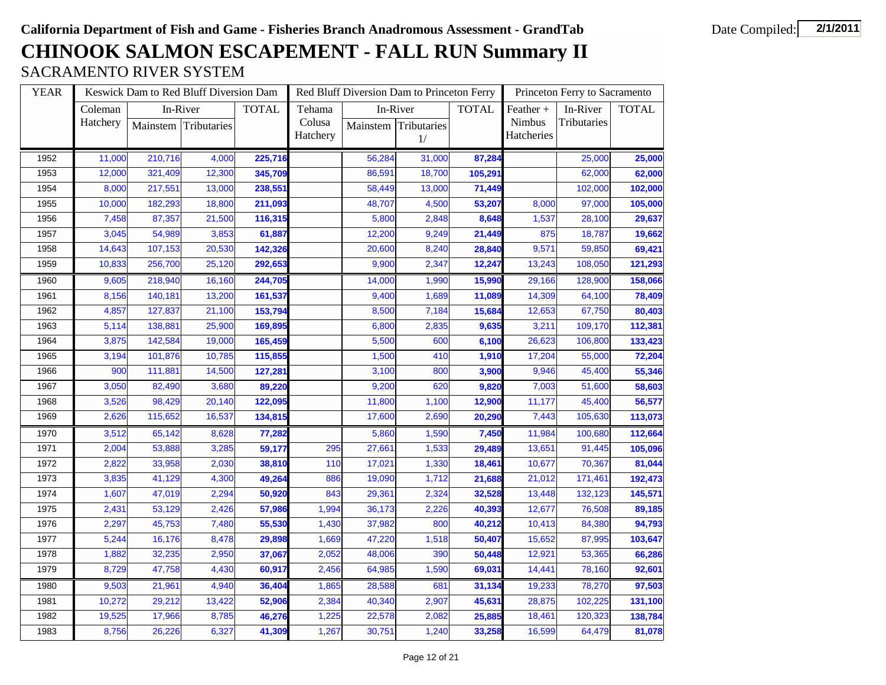## **CHINOOK SALMON ESCAPEMENT - FALL RUN Summary II** SACRAMENTO RIVER SYSTEM

| <b>YEAR</b> |          |          | Keswick Dam to Red Bluff Diversion Dam |              |          |          | Red Bluff Diversion Dam to Princeton Ferry |              |            | Princeton Ferry to Sacramento |              |
|-------------|----------|----------|----------------------------------------|--------------|----------|----------|--------------------------------------------|--------------|------------|-------------------------------|--------------|
|             | Coleman  | In-River |                                        | <b>TOTAL</b> | Tehama   | In-River |                                            | <b>TOTAL</b> | Feather +  | In-River                      | <b>TOTAL</b> |
|             | Hatchery |          | Mainstem Tributaries                   |              | Colusa   | Mainstem | Tributaries                                |              | Nimbus     | Tributaries                   |              |
|             |          |          |                                        |              | Hatchery |          | 1/                                         |              | Hatcheries |                               |              |
| 1952        | 11,000   | 210,716  | 4,000                                  | 225,716      |          | 56,284   | 31,000                                     | 87,284       |            | 25,000                        | 25,000       |
| 1953        | 12,000   | 321,409  | 12,300                                 | 345,709      |          | 86,591   | 18,700                                     | 105,291      |            | 62,000                        | 62,000       |
| 1954        | 8,000    | 217,551  | 13,000                                 | 238,551      |          | 58,449   | 13,000                                     | 71,449       |            | 102,000                       | 102,000      |
| 1955        | 10,000   | 182,293  | 18,800                                 | 211,093      |          | 48,707   | 4,500                                      | 53,207       | 8,000      | 97,000                        | 105,000      |
| 1956        | 7,458    | 87,357   | 21,500                                 | 116,315      |          | 5,800    | 2,848                                      | 8,648        | 1,537      | 28,100                        | 29,637       |
| 1957        | 3,045    | 54,989   | 3,853                                  | 61,887       |          | 12,200   | 9,249                                      | 21,449       | 875        | 18,787                        | 19,662       |
| 1958        | 14,643   | 107,153  | 20,530                                 | 142,326      |          | 20,600   | 8,240                                      | 28,840       | 9,571      | 59,850                        | 69,421       |
| 1959        | 10,833   | 256,700  | 25,120                                 | 292,653      |          | 9,900    | 2,347                                      | 12,247       | 13,243     | 108,050                       | 121,293      |
| 1960        | 9,605    | 218,940  | 16,160                                 | 244,705      |          | 14,000   | 1,990                                      | 15,990       | 29,166     | 128,900                       | 158,066      |
| 1961        | 8,156    | 140,181  | 13,200                                 | 161,537      |          | 9,400    | 1,689                                      | 11,089       | 14,309     | 64,100                        | 78,409       |
| 1962        | 4,857    | 127,837  | 21,100                                 | 153,794      |          | 8,500    | 7,184                                      | 15,684       | 12,653     | 67,750                        | 80,403       |
| 1963        | 5,114    | 138,881  | 25,900                                 | 169,895      |          | 6,800    | 2,835                                      | 9,635        | 3,211      | 109,170                       | 112,381      |
| 1964        | 3,875    | 142,584  | 19,000                                 | 165,459      |          | 5,500    | 600                                        | 6,100        | 26,623     | 106,800                       | 133,423      |
| 1965        | 3,194    | 101,876  | 10,785                                 | 115,855      |          | 1,500    | 410                                        | 1,910        | 17,204     | 55,000                        | 72,204       |
| 1966        | 900      | 111,881  | 14,500                                 | 127,281      |          | 3,100    | 800                                        | 3,900        | 9,946      | 45,400                        | 55,346       |
| 1967        | 3,050    | 82,490   | 3,680                                  | 89,220       |          | 9,200    | 620                                        | 9,820        | 7,003      | 51,600                        | 58,603       |
| 1968        | 3,526    | 98,429   | 20,140                                 | 122,095      |          | 11,800   | 1,100                                      | 12,900       | 11,177     | 45,400                        | 56,577       |
| 1969        | 2,626    | 115,652  | 16,537                                 | 134,815      |          | 17,600   | 2,690                                      | 20,290       | 7,443      | 105,630                       | 113,073      |
| 1970        | 3,512    | 65,142   | 8,628                                  | 77,282       |          | 5,860    | 1,590                                      | 7,450        | 11,984     | 100,680                       | 112,664      |
| 1971        | 2,004    | 53,888   | 3,285                                  | 59,177       | 295      | 27,661   | 1,533                                      | 29,489       | 13,651     | 91,445                        | 105,096      |
| 1972        | 2,822    | 33,958   | 2,030                                  | 38,810       | 110      | 17,021   | 1,330                                      | 18,461       | 10,677     | 70,367                        | 81,044       |
| 1973        | 3,835    | 41,129   | 4,300                                  | 49,264       | 886      | 19,090   | 1,712                                      | 21,688       | 21,012     | 171,461                       | 192,473      |
| 1974        | 1,607    | 47,019   | 2,294                                  | 50,920       | 843      | 29,361   | 2,324                                      | 32,528       | 13,448     | 132,123                       | 145,571      |
| 1975        | 2,431    | 53,129   | 2,426                                  | 57,986       | 1,994    | 36,173   | 2,226                                      | 40,393       | 12,677     | 76,508                        | 89,185       |
| 1976        | 2,297    | 45,753   | 7,480                                  | 55,530       | 1,430    | 37,982   | 800                                        | 40,212       | 10,413     | 84,380                        | 94,793       |
| 1977        | 5,244    | 16,176   | 8,478                                  | 29,898       | 1,669    | 47,220   | 1,518                                      | 50,407       | 15,652     | 87,995                        | 103,647      |
| 1978        | 1,882    | 32,235   | 2,950                                  | 37,067       | 2,052    | 48,006   | 390                                        | 50,448       | 12,921     | 53,365                        | 66,286       |
| 1979        | 8,729    | 47,758   | 4,430                                  | 60,917       | 2,456    | 64,985   | 1,590                                      | 69,031       | 14,441     | 78,160                        | 92,601       |
| 1980        | 9,503    | 21,961   | 4,940                                  | 36,404       | 1,865    | 28,588   | 681                                        | 31,134       | 19,233     | 78,270                        | 97,503       |
| 1981        | 10,272   | 29,212   | 13,422                                 | 52,906       | 2,384    | 40,340   | 2,907                                      | 45,631       | 28,875     | 102,225                       | 131,100      |
| 1982        | 19,525   | 17,966   | 8,785                                  | 46,276       | 1,225    | 22,578   | 2,082                                      | 25,885       | 18,461     | 120,323                       | 138,784      |
| 1983        | 8,756    | 26,226   | 6,327                                  | 41,309       | 1,267    | 30,751   | 1,240                                      | 33,258       | 16,599     | 64,479                        | 81,078       |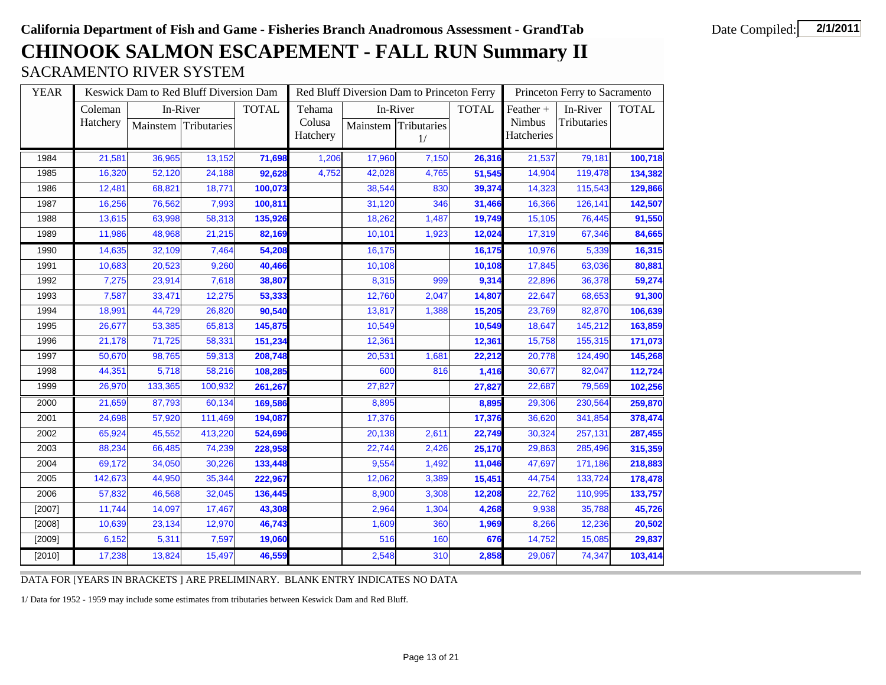## **CHINOOK SALMON ESCAPEMENT - FALL RUN Summary II** SACRAMENTO RIVER SYSTEM

| <b>YEAR</b> |          |         | Keswick Dam to Red Bluff Diversion Dam |              |          |        | Red Bluff Diversion Dam to Princeton Ferry |              |            | Princeton Ferry to Sacramento |              |
|-------------|----------|---------|----------------------------------------|--------------|----------|--------|--------------------------------------------|--------------|------------|-------------------------------|--------------|
|             | Coleman  |         | In-River                               | <b>TOTAL</b> | Tehama   |        | In-River                                   | <b>TOTAL</b> | Feather +  | In-River                      | <b>TOTAL</b> |
|             | Hatchery |         | Mainstem Tributaries                   |              | Colusa   |        | Mainstem Tributaries                       |              | Nimbus     | Tributaries                   |              |
|             |          |         |                                        |              | Hatchery |        | 1/                                         |              | Hatcheries |                               |              |
| 1984        | 21,581   | 36,965  | 13,152                                 | 71,698       | 1,206    | 17,960 | 7,150                                      | 26,316       | 21,537     | 79,181                        | 100,718      |
| 1985        | 16,320   | 52,120  | 24,188                                 | 92,628       | 4,752    | 42,028 | 4,765                                      | 51,545       | 14,904     | 119,478                       | 134,382      |
| 1986        | 12,481   | 68,821  | 18,771                                 | 100,073      |          | 38,544 | 830                                        | 39,374       | 14,323     | 115,543                       | 129,866      |
| 1987        | 16,256   | 76,562  | 7,993                                  | 100,811      |          | 31,120 | 346                                        | 31,466       | 16,366     | 126,141                       | 142,507      |
| 1988        | 13,615   | 63,998  | 58,313                                 | 135,926      |          | 18,262 | 1,487                                      | 19,749       | 15,105     | 76,445                        | 91,550       |
| 1989        | 11,986   | 48,968  | 21,215                                 | 82,169       |          | 10,101 | 1,923                                      | 12,024       | 17,319     | 67,346                        | 84,665       |
| 1990        | 14,635   | 32,109  | 7,464                                  | 54,208       |          | 16,175 |                                            | 16,175       | 10,976     | 5,339                         | 16,315       |
| 1991        | 10,683   | 20,523  | 9,260                                  | 40,466       |          | 10,108 |                                            | 10,108       | 17,845     | 63,036                        | 80,881       |
| 1992        | 7,275    | 23,914  | 7,618                                  | 38,807       |          | 8,315  | 999                                        | 9,314        | 22,896     | 36,378                        | 59,274       |
| 1993        | 7,587    | 33,471  | 12,275                                 | 53,333       |          | 12,760 | 2,047                                      | 14,807       | 22,647     | 68,653                        | 91,300       |
| 1994        | 18,991   | 44,729  | 26,820                                 | 90,540       |          | 13,817 | 1,388                                      | 15,205       | 23,769     | 82,870                        | 106,639      |
| 1995        | 26,677   | 53,385  | 65,813                                 | 145,875      |          | 10,549 |                                            | 10,549       | 18,647     | 145,212                       | 163,859      |
| 1996        | 21,178   | 71,725  | 58,331                                 | 151,234      |          | 12,361 |                                            | 12,361       | 15,758     | 155,315                       | 171,073      |
| 1997        | 50,670   | 98,765  | 59,313                                 | 208,748      |          | 20,531 | 1,681                                      | 22,212       | 20,778     | 124,490                       | 145,268      |
| 1998        | 44,351   | 5,718   | 58,216                                 | 108,285      |          | 600    | 816                                        | 1,416        | 30,677     | 82,047                        | 112,724      |
| 1999        | 26,970   | 133,365 | 100,932                                | 261,267      |          | 27,827 |                                            | 27,827       | 22,687     | 79,569                        | 102,256      |
| 2000        | 21,659   | 87,793  | 60,134                                 | 169,586      |          | 8,895  |                                            | 8,895        | 29,306     | 230,564                       | 259,870      |
| 2001        | 24,698   | 57,920  | 111,469                                | 194,087      |          | 17,376 |                                            | 17,376       | 36,620     | 341,854                       | 378,474      |
| 2002        | 65,924   | 45,552  | 413,220                                | 524,696      |          | 20,138 | 2,611                                      | 22,749       | 30,324     | 257,131                       | 287,455      |
| 2003        | 88,234   | 66,485  | 74,239                                 | 228,958      |          | 22,744 | 2,426                                      | 25,170       | 29,863     | 285,496                       | 315,359      |
| 2004        | 69,172   | 34,050  | 30,226                                 | 133,448      |          | 9,554  | 1,492                                      | 11,046       | 47,697     | 171,186                       | 218,883      |
| 2005        | 142,673  | 44,950  | 35,344                                 | 222,967      |          | 12,062 | 3,389                                      | 15,451       | 44,754     | 133,724                       | 178,478      |
| 2006        | 57,832   | 46,568  | 32,045                                 | 136,445      |          | 8,900  | 3,308                                      | 12,208       | 22,762     | 110,995                       | 133,757      |
| [2007]      | 11,744   | 14,097  | 17,467                                 | 43,308       |          | 2,964  | 1,304                                      | 4,268        | 9,938      | 35,788                        | 45,726       |
| [2008]      | 10,639   | 23,134  | 12,970                                 | 46,743       |          | 1,609  | 360                                        | 1,969        | 8,266      | 12,236                        | 20,502       |
| [2009]      | 6,152    | 5,311   | 7,597                                  | 19,060       |          | 516    | 160                                        | 676          | 14,752     | 15,085                        | 29,837       |
| [2010]      | 17,238   | 13,824  | 15,497                                 | 46,559       |          | 2,548  | 310                                        | 2,858        | 29,067     | 74,347                        | 103,414      |

DATA FOR [YEARS IN BRACKETS ] ARE PRELIMINARY. BLANK ENTRY INDICATES NO DATA

1/ Data for 1952 - 1959 may include some estimates from tributaries between Keswick Dam and Red Bluff.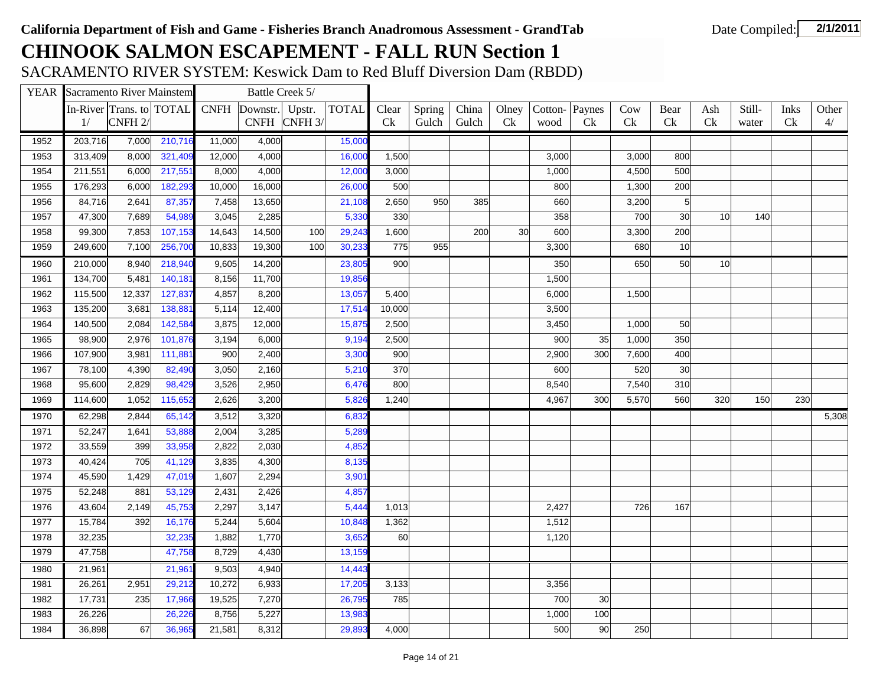SACRAMENTO RIVER SYSTEM: Keswick Dam to Red Bluff Diversion Dam (RBDD)

|      | <b>YEAR</b> Sacramento River Mainstem |                          |         |             | Battle Creek 5/ |                      |              |           |        |       |           |         |                |                |                |                 |        |      |       |
|------|---------------------------------------|--------------------------|---------|-------------|-----------------|----------------------|--------------|-----------|--------|-------|-----------|---------|----------------|----------------|----------------|-----------------|--------|------|-------|
|      |                                       | In-River Trans. to TOTAL |         | <b>CNFH</b> | Downstr.        | Upstr.               | <b>TOTAL</b> | Clear     | Spring | China | Olney     | Cotton- | Paynes         | Cow            | Bear           | Ash             | Still- | Inks | Other |
|      | 1/                                    | CNFH <sub>2</sub> /      |         |             |                 | CNFH $\vert$ CNFH 3/ |              | <b>Ck</b> | Gulch  | Gulch | <b>Ck</b> | wood    | C <sub>k</sub> | C <sub>k</sub> | <b>Ck</b>      | Ck              | water  | Ck   | 4/    |
| 1952 | 203,716                               | 7,000                    | 210,716 | 11,000      | 4,000           |                      | 15,000       |           |        |       |           |         |                |                |                |                 |        |      |       |
| 1953 | 313,409                               | 8,000                    | 321,409 | 12,000      | 4,000           |                      | 16,000       | 1,500     |        |       |           | 3,000   |                | 3,000          | 800            |                 |        |      |       |
| 1954 | 211,551                               | 6,000                    | 217,551 | 8,000       | 4,000           |                      | 12,000       | 3,000     |        |       |           | 1,000   |                | 4,500          | 500            |                 |        |      |       |
| 1955 | 176,293                               | 6,000                    | 182,293 | 10,000      | 16,000          |                      | 26,000       | 500       |        |       |           | 800     |                | 1,300          | 200            |                 |        |      |       |
| 1956 | 84,716                                | 2,641                    | 87,357  | 7,458       | 13,650          |                      | 21,108       | 2,650     | 950    | 385   |           | 660     |                | 3,200          | 5 <sup>1</sup> |                 |        |      |       |
| 1957 | 47,300                                | 7,689                    | 54,989  | 3,045       | 2,285           |                      | 5,330        | 330       |        |       |           | 358     |                | 700            | 30             | 10 <sup>1</sup> | 140    |      |       |
| 1958 | 99,300                                | 7,853                    | 107,153 | 14,643      | 14,500          | 100                  | 29,243       | 1,600     |        | 200   | 30        | 600     |                | 3,300          | 200            |                 |        |      |       |
| 1959 | 249,600                               | 7,100                    | 256,700 | 10,833      | 19,300          | 100                  | 30,233       | 775       | 955    |       |           | 3,300   |                | 680            | 10             |                 |        |      |       |
| 1960 | 210,000                               | 8,940                    | 218,940 | 9,605       | 14,200          |                      | 23,805       | 900       |        |       |           | 350     |                | 650            | 50             | 10              |        |      |       |
| 1961 | 134,700                               | 5,481                    | 140,181 | 8,156       | 11,700          |                      | 19,856       |           |        |       |           | 1,500   |                |                |                |                 |        |      |       |
| 1962 | 115,500                               | 12,337                   | 127,837 | 4,857       | 8,200           |                      | 13,057       | 5,400     |        |       |           | 6,000   |                | 1,500          |                |                 |        |      |       |
| 1963 | 135,200                               | 3,681                    | 138,88  | 5,114       | 12,400          |                      | 17,51        | 10,000    |        |       |           | 3,500   |                |                |                |                 |        |      |       |
| 1964 | 140,500                               | 2,084                    | 142,58  | 3,875       | 12,000          |                      | 15,875       | 2,500     |        |       |           | 3,450   |                | 1,000          | 50             |                 |        |      |       |
| 1965 | 98,900                                | 2,976                    | 101,876 | 3,194       | 6,000           |                      | 9,194        | 2,500     |        |       |           | 900     | 35             | 1,000          | 350            |                 |        |      |       |
| 1966 | 107,900                               | 3,981                    | 111,881 | 900         | 2,400           |                      | 3,300        | 900       |        |       |           | 2,900   | 300            | 7,600          | 400            |                 |        |      |       |
| 1967 | 78,100                                | 4,390                    | 82,490  | 3,050       | 2,160           |                      | 5,210        | 370       |        |       |           | 600     |                | 520            | 30             |                 |        |      |       |
| 1968 | 95,600                                | 2,829                    | 98,429  | 3,526       | 2,950           |                      | 6,476        | 800       |        |       |           | 8,540   |                | 7,540          | 310            |                 |        |      |       |
| 1969 | 114,600                               | 1,052                    | 115,652 | 2,626       | 3,200           |                      | 5,826        | 1,240     |        |       |           | 4,967   | 300            | 5,570          | 560            | 320             | 150    | 230  |       |
| 1970 | 62,298                                | 2,844                    | 65,142  | 3,512       | 3,320           |                      | 6,832        |           |        |       |           |         |                |                |                |                 |        |      | 5,308 |
| 1971 | 52,247                                | 1,641                    | 53,888  | 2,004       | 3,285           |                      | 5,289        |           |        |       |           |         |                |                |                |                 |        |      |       |
| 1972 | 33,559                                | 399                      | 33,958  | 2,822       | 2,030           |                      | 4,852        |           |        |       |           |         |                |                |                |                 |        |      |       |
| 1973 | 40,424                                | 705                      | 41,129  | 3,835       | 4,300           |                      | 8,135        |           |        |       |           |         |                |                |                |                 |        |      |       |
| 1974 | 45,590                                | 1,429                    | 47,019  | 1,607       | 2,294           |                      | 3,901        |           |        |       |           |         |                |                |                |                 |        |      |       |
| 1975 | 52,248                                | 881                      | 53,129  | 2,431       | 2,426           |                      | 4,857        |           |        |       |           |         |                |                |                |                 |        |      |       |
| 1976 | 43,604                                | 2,149                    | 45,753  | 2,297       | 3,147           |                      | 5,444        | 1,013     |        |       |           | 2,427   |                | 726            | 167            |                 |        |      |       |
| 1977 | 15,784                                | 392                      | 16,176  | 5,244       | 5,604           |                      | 10,848       | 1,362     |        |       |           | 1,512   |                |                |                |                 |        |      |       |
| 1978 | 32,235                                |                          | 32,23   | 1,882       | 1,770           |                      | 3,652        | 60        |        |       |           | 1,120   |                |                |                |                 |        |      |       |
| 1979 | 47,758                                |                          | 47,758  | 8,729       | 4,430           |                      | 13,159       |           |        |       |           |         |                |                |                |                 |        |      |       |
| 1980 | 21,961                                |                          | 21,961  | 9,503       | 4,940           |                      | 14,443       |           |        |       |           |         |                |                |                |                 |        |      |       |
| 1981 | 26,261                                | 2,951                    | 29,212  | 10,272      | 6,933           |                      | 17,205       | 3,133     |        |       |           | 3,356   |                |                |                |                 |        |      |       |
| 1982 | 17,731                                | 235                      | 17,966  | 19,525      | 7,270           |                      | 26,795       | 785       |        |       |           | 700     | 30             |                |                |                 |        |      |       |
| 1983 | 26,226                                |                          | 26,226  | 8,756       | 5,227           |                      | 13,983       |           |        |       |           | 1,000   | 100            |                |                |                 |        |      |       |
| 1984 | 36,898                                | 67                       | 36,965  | 21,581      | 8,312           |                      | 29,89        | 4,000     |        |       |           | 500     | 90             | 250            |                |                 |        |      |       |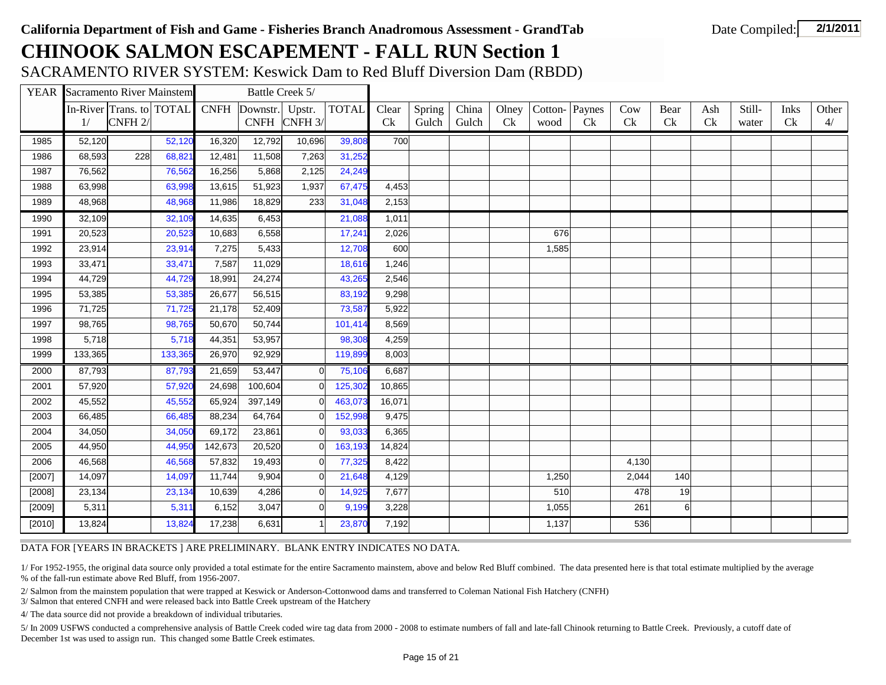SACRAMENTO RIVER SYSTEM: Keswick Dam to Red Bluff Diversion Dam (RBDD)

|        | <b>YEAR</b> Sacramento River Mainstem |                          |         |             | Battle Creek 5/ |                |              |        |        |       |                |         |                |       |      |     |        |      |       |
|--------|---------------------------------------|--------------------------|---------|-------------|-----------------|----------------|--------------|--------|--------|-------|----------------|---------|----------------|-------|------|-----|--------|------|-------|
|        |                                       | In-River Trans. to TOTAL |         | <b>CNFH</b> | Downstr.        | Upstr.         | <b>TOTAL</b> | Clear  | Spring | China | Olney          | Cotton- | Paynes         | Cow   | Bear | Ash | Still- | Inks | Other |
|        | 1/                                    | CNFH <sub>2</sub> /      |         |             |                 | CNFH CNFH 3/   |              | Ck     | Gulch  | Gulch | C <sub>k</sub> | wood    | C <sub>k</sub> | Ck    | Ck   | Ck  | water  | Ck   | 4/    |
| 1985   | 52,120                                |                          | 52,120  | 16,320      | 12,792          | 10,696         | 39,808       | 700    |        |       |                |         |                |       |      |     |        |      |       |
| 1986   | 68,593                                | 228                      | 68,821  | 12,481      | 11,508          | 7,263          | 31,252       |        |        |       |                |         |                |       |      |     |        |      |       |
| 1987   | 76,562                                |                          | 76,562  | 16,256      | 5,868           | 2,125          | 24,249       |        |        |       |                |         |                |       |      |     |        |      |       |
| 1988   | 63,998                                |                          | 63,998  | 13,615      | 51,923          | 1,937          | 67,475       | 4,453  |        |       |                |         |                |       |      |     |        |      |       |
| 1989   | 48,968                                |                          | 48,968  | 11,986      | 18,829          | 233            | 31,048       | 2,153  |        |       |                |         |                |       |      |     |        |      |       |
| 1990   | 32,109                                |                          | 32,109  | 14,635      | 6,453           |                | 21,088       | 1,011  |        |       |                |         |                |       |      |     |        |      |       |
| 1991   | 20,523                                |                          | 20,523  | 10,683      | 6,558           |                | 17,241       | 2,026  |        |       |                | 676     |                |       |      |     |        |      |       |
| 1992   | 23,914                                |                          | 23,914  | 7,275       | 5,433           |                | 12,708       | 600    |        |       |                | 1,585   |                |       |      |     |        |      |       |
| 1993   | 33,471                                |                          | 33,471  | 7,587       | 11,029          |                | 18,616       | 1,246  |        |       |                |         |                |       |      |     |        |      |       |
| 1994   | 44,729                                |                          | 44,729  | 18,991      | 24,274          |                | 43,265       | 2,546  |        |       |                |         |                |       |      |     |        |      |       |
| 1995   | 53,385                                |                          | 53,385  | 26,677      | 56,515          |                | 83,192       | 9,298  |        |       |                |         |                |       |      |     |        |      |       |
| 1996   | 71,725                                |                          | 71,725  | 21,178      | 52,409          |                | 73,587       | 5,922  |        |       |                |         |                |       |      |     |        |      |       |
| 1997   | 98,765                                |                          | 98,765  | 50,670      | 50,744          |                | 101,414      | 8,569  |        |       |                |         |                |       |      |     |        |      |       |
| 1998   | 5,718                                 |                          | 5,718   | 44,351      | 53,957          |                | 98,308       | 4,259  |        |       |                |         |                |       |      |     |        |      |       |
| 1999   | 133,365                               |                          | 133,365 | 26,970      | 92,929          |                | 119,899      | 8,003  |        |       |                |         |                |       |      |     |        |      |       |
| 2000   | 87,793                                |                          | 87,793  | 21,659      | 53,447          | $\Omega$       | 75,106       | 6,687  |        |       |                |         |                |       |      |     |        |      |       |
| 2001   | 57,920                                |                          | 57,920  | 24,698      | 100,604         |                | 125,302      | 10,865 |        |       |                |         |                |       |      |     |        |      |       |
| 2002   | 45,552                                |                          | 45,552  | 65,924      | 397,149         |                | 463,073      | 16,071 |        |       |                |         |                |       |      |     |        |      |       |
| 2003   | 66,485                                |                          | 66,485  | 88,234      | 64,764          |                | 152,998      | 9,475  |        |       |                |         |                |       |      |     |        |      |       |
| 2004   | 34,050                                |                          | 34,050  | 69,172      | 23,861          | $\Omega$       | 93,033       | 6,365  |        |       |                |         |                |       |      |     |        |      |       |
| 2005   | 44,950                                |                          | 44,950  | 142,673     | 20,520          | $\Omega$       | 163,193      | 14,824 |        |       |                |         |                |       |      |     |        |      |       |
| 2006   | 46,568                                |                          | 46,568  | 57,832      | 19,493          | $\Omega$       | 77,325       | 8,422  |        |       |                |         |                | 4,130 |      |     |        |      |       |
| [2007] | 14,097                                |                          | 14,097  | 11,744      | 9,904           | $\overline{0}$ | 21,648       | 4,129  |        |       |                | 1,250   |                | 2,044 | 140  |     |        |      |       |
| [2008] | 23,134                                |                          | 23,134  | 10,639      | 4,286           | $\Omega$       | 14,925       | 7,677  |        |       |                | 510     |                | 478   | 19   |     |        |      |       |
| [2009] | 5,311                                 |                          | 5,311   | 6,152       | 3,047           | $\overline{0}$ | 9,199        | 3,228  |        |       |                | 1,055   |                | 261   | 6    |     |        |      |       |
| [2010] | 13,824                                |                          | 13,824  | 17,238      | 6,631           |                | 23,870       | 7,192  |        |       |                | 1,137   |                | 536   |      |     |        |      |       |

#### DATA FOR [YEARS IN BRACKETS ] ARE PRELIMINARY. BLANK ENTRY INDICATES NO DATA.

1/ For 1952-1955, the original data source only provided a total estimate for the entire Sacramento mainstem, above and below Red Bluff combined. The data presented here is that total estimate multiplied by the average % of the fall-run estimate above Red Bluff, from 1956-2007.

2/ Salmon from the mainstem population that were trapped at Keswick or Anderson-Cottonwood dams and transferred to Coleman National Fish Hatchery (CNFH)

3/ Salmon that entered CNFH and were released back into Battle Creek upstream of the Hatchery

4/ The data source did not provide a breakdown of individual tributaries.

5/ In 2009 USFWS conducted a comprehensive analysis of Battle Creek coded wire tag data from 2000 - 2008 to estimate numbers of fall and late-fall Chinook returning to Battle Creek. Previously, a cutoff date of December 1st was used to assign run. This changed some Battle Creek estimates.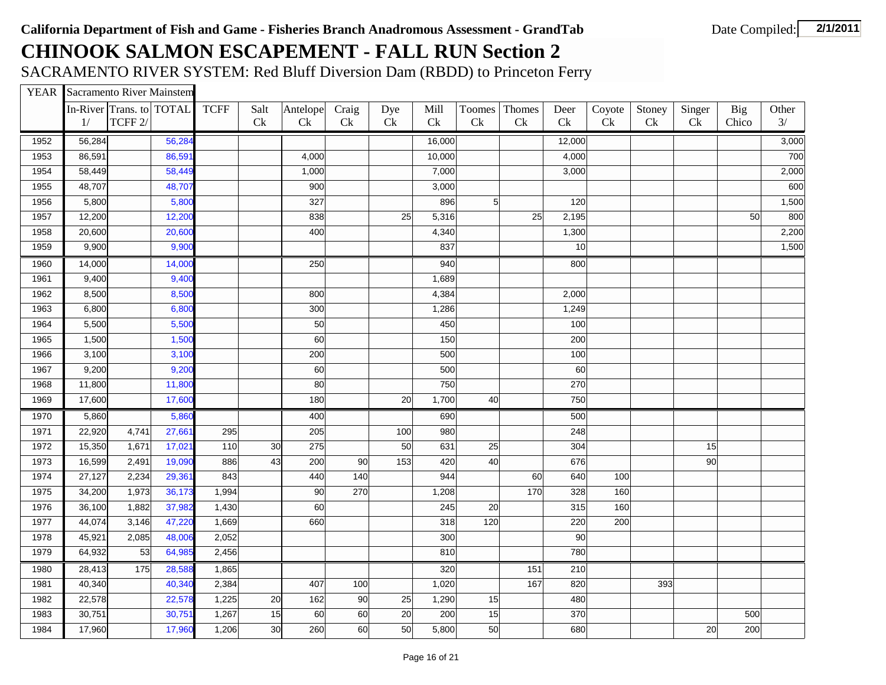SACRAMENTO RIVER SYSTEM: Red Bluff Diversion Dam (RBDD) to Princeton Ferry

YEAR Sacramento River Mainstem

|      | In-River Trans. to TOTAL |         |        | <b>TCFF</b> | Salt | Antelope | Craig | Dye | Mill   | Toomes     | Thomes              | Deer   | Coyote | Stoney | Singer | Big   | Other |
|------|--------------------------|---------|--------|-------------|------|----------|-------|-----|--------|------------|---------------------|--------|--------|--------|--------|-------|-------|
|      | 1/                       | TCFF 2/ |        |             | Ck   | Ck       | Ck    | Ck  | Ck     | Ck         | $\operatorname{Ck}$ | Ck     | Ck     | Ck     | Ck     | Chico | 3/    |
| 1952 | 56,284                   |         | 56,284 |             |      |          |       |     | 16,000 |            |                     | 12,000 |        |        |        |       | 3,000 |
| 1953 | 86,591                   |         | 86,591 |             |      | 4,000    |       |     | 10,000 |            |                     | 4,000  |        |        |        |       | 700   |
| 1954 | 58,449                   |         | 58,449 |             |      | 1,000    |       |     | 7,000  |            |                     | 3,000  |        |        |        |       | 2,000 |
| 1955 | 48,707                   |         | 48,707 |             |      | 900      |       |     | 3,000  |            |                     |        |        |        |        |       | 600   |
| 1956 | 5,800                    |         | 5,800  |             |      | 327      |       |     | 896    | $\sqrt{5}$ |                     | 120    |        |        |        |       | 1,500 |
| 1957 | 12,200                   |         | 12,200 |             |      | 838      |       | 25  | 5,316  |            | 25                  | 2,195  |        |        |        | 50    | 800   |
| 1958 | 20,600                   |         | 20,600 |             |      | 400      |       |     | 4,340  |            |                     | 1,300  |        |        |        |       | 2,200 |
| 1959 | 9,900                    |         | 9,900  |             |      |          |       |     | 837    |            |                     | 10     |        |        |        |       | 1,500 |
| 1960 | 14,000                   |         | 14,000 |             |      | 250      |       |     | 940    |            |                     | 800    |        |        |        |       |       |
| 1961 | 9,400                    |         | 9,400  |             |      |          |       |     | 1,689  |            |                     |        |        |        |        |       |       |
| 1962 | 8,500                    |         | 8,500  |             |      | 800      |       |     | 4,384  |            |                     | 2,000  |        |        |        |       |       |
| 1963 | 6,800                    |         | 6,800  |             |      | 300      |       |     | 1,286  |            |                     | 1,249  |        |        |        |       |       |
| 1964 | 5,500                    |         | 5,500  |             |      | 50       |       |     | 450    |            |                     | 100    |        |        |        |       |       |
| 1965 | 1,500                    |         | 1,500  |             |      | 60       |       |     | 150    |            |                     | 200    |        |        |        |       |       |
| 1966 | 3,100                    |         | 3,100  |             |      | 200      |       |     | 500    |            |                     | 100    |        |        |        |       |       |
| 1967 | 9,200                    |         | 9,200  |             |      | 60       |       |     | 500    |            |                     | 60     |        |        |        |       |       |
| 1968 | 11,800                   |         | 11,800 |             |      | 80       |       |     | 750    |            |                     | 270    |        |        |        |       |       |
| 1969 | 17,600                   |         | 17,600 |             |      | 180      |       | 20  | 1,700  | 40         |                     | 750    |        |        |        |       |       |
| 1970 | 5,860                    |         | 5,860  |             |      | 400      |       |     | 690    |            |                     | 500    |        |        |        |       |       |
| 1971 | 22,920                   | 4,741   | 27,66  | 295         |      | 205      |       | 100 | 980    |            |                     | 248    |        |        |        |       |       |
| 1972 | 15,350                   | 1,671   | 17,021 | 110         | 30   | 275      |       | 50  | 631    | 25         |                     | 304    |        |        | 15     |       |       |
| 1973 | 16,599                   | 2,491   | 19,090 | 886         | 43   | 200      | 90    | 153 | 420    | 40         |                     | 676    |        |        | 90     |       |       |
| 1974 | 27,127                   | 2,234   | 29,361 | 843         |      | 440      | 140   |     | 944    |            | 60                  | 640    | 100    |        |        |       |       |
| 1975 | 34,200                   | 1,973   | 36,173 | 1,994       |      | 90       | 270   |     | 1,208  |            | 170                 | 328    | 160    |        |        |       |       |
| 1976 | 36,100                   | 1,882   | 37,982 | 1,430       |      | 60       |       |     | 245    | 20         |                     | 315    | 160    |        |        |       |       |
| 1977 | 44,074                   | 3,146   | 47,220 | 1,669       |      | 660      |       |     | 318    | 120        |                     | 220    | 200    |        |        |       |       |
| 1978 | 45,921                   | 2,085   | 48,006 | 2,052       |      |          |       |     | 300    |            |                     | 90     |        |        |        |       |       |
| 1979 | 64,932                   | 53      | 64,985 | 2,456       |      |          |       |     | 810    |            |                     | 780    |        |        |        |       |       |
| 1980 | 28,413                   | 175     | 28,588 | 1,865       |      |          |       |     | 320    |            | 151                 | 210    |        |        |        |       |       |
| 1981 | 40,340                   |         | 40,340 | 2,384       |      | 407      | 100   |     | 1,020  |            | 167                 | 820    |        | 393    |        |       |       |
| 1982 | 22,578                   |         | 22,578 | 1,225       | 20   | 162      | 90    | 25  | 1,290  | 15         |                     | 480    |        |        |        |       |       |
| 1983 | 30,751                   |         | 30,751 | 1,267       | 15   | 60       | 60    | 20  | 200    | 15         |                     | 370    |        |        |        | 500   |       |
| 1984 | 17,960                   |         | 17,960 | 1,206       | 30   | 260      | 60    | 50  | 5,800  | 50         |                     | 680    |        |        | 20     | 200   |       |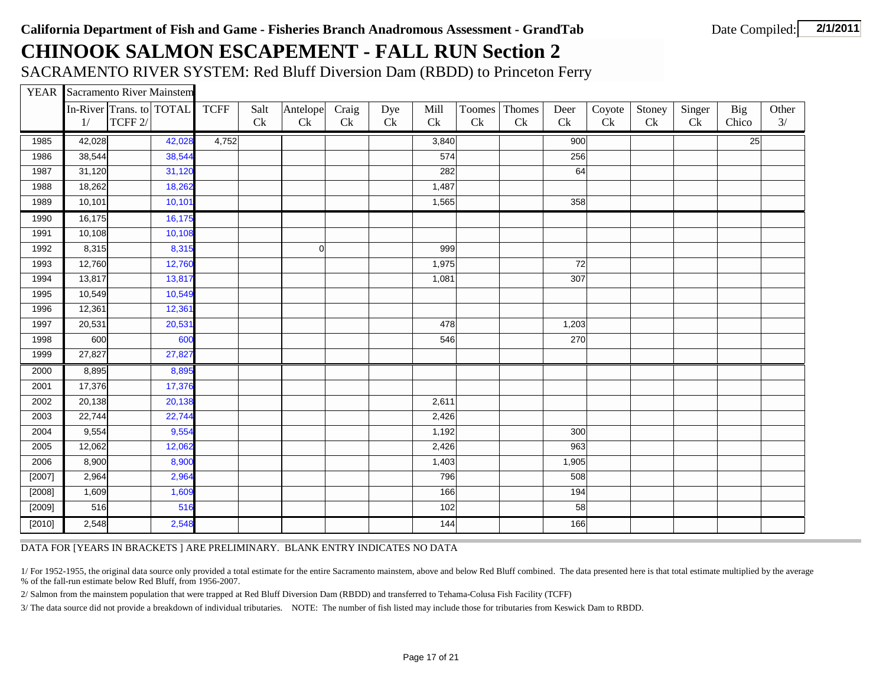SACRAMENTO RIVER SYSTEM: Red Bluff Diversion Dam (RBDD) to Princeton Ferry

|  | <b>YEAR</b> Sacramento River Mainstem |  |
|--|---------------------------------------|--|
|--|---------------------------------------|--|

|        | 1/     | In-River Trans. to TOTAL<br>TCFF 2/ |        | <b>TCFF</b> | Salt<br>Ck | Antelope<br>Ck | Craig<br>Ck | Dye<br>$\operatorname{Ck}$ | Mill<br>Ck | Toomes<br>Ck | Thomes<br>Ck | Deer<br>Ck | Coyote<br>Ck | Stoney<br>Ck | Singer<br>Ck | <b>Big</b><br>Chico | Other<br>3/ |
|--------|--------|-------------------------------------|--------|-------------|------------|----------------|-------------|----------------------------|------------|--------------|--------------|------------|--------------|--------------|--------------|---------------------|-------------|
| 1985   | 42,028 |                                     | 42,028 | 4,752       |            |                |             |                            | 3,840      |              |              | 900        |              |              |              | 25                  |             |
| 1986   | 38,544 |                                     | 38,544 |             |            |                |             |                            | 574        |              |              | 256        |              |              |              |                     |             |
| 1987   | 31,120 |                                     | 31,120 |             |            |                |             |                            | 282        |              |              | 64         |              |              |              |                     |             |
| 1988   | 18,262 |                                     | 18,262 |             |            |                |             |                            | 1,487      |              |              |            |              |              |              |                     |             |
| 1989   | 10,101 |                                     | 10,101 |             |            |                |             |                            | 1,565      |              |              | 358        |              |              |              |                     |             |
| 1990   | 16,175 |                                     | 16,175 |             |            |                |             |                            |            |              |              |            |              |              |              |                     |             |
| 1991   | 10,108 |                                     | 10,108 |             |            |                |             |                            |            |              |              |            |              |              |              |                     |             |
| 1992   | 8,315  |                                     | 8,315  |             |            | $\Omega$       |             |                            | 999        |              |              |            |              |              |              |                     |             |
| 1993   | 12,760 |                                     | 12,760 |             |            |                |             |                            | 1,975      |              |              | 72         |              |              |              |                     |             |
| 1994   | 13,817 |                                     | 13,817 |             |            |                |             |                            | 1,081      |              |              | 307        |              |              |              |                     |             |
| 1995   | 10,549 |                                     | 10,549 |             |            |                |             |                            |            |              |              |            |              |              |              |                     |             |
| 1996   | 12,361 |                                     | 12,361 |             |            |                |             |                            |            |              |              |            |              |              |              |                     |             |
| 1997   | 20,531 |                                     | 20,531 |             |            |                |             |                            | 478        |              |              | 1,203      |              |              |              |                     |             |
| 1998   | 600    |                                     | 600    |             |            |                |             |                            | 546        |              |              | 270        |              |              |              |                     |             |
| 1999   | 27,827 |                                     | 27,827 |             |            |                |             |                            |            |              |              |            |              |              |              |                     |             |
| 2000   | 8,895  |                                     | 8,895  |             |            |                |             |                            |            |              |              |            |              |              |              |                     |             |
| 2001   | 17,376 |                                     | 17,376 |             |            |                |             |                            |            |              |              |            |              |              |              |                     |             |
| 2002   | 20,138 |                                     | 20,138 |             |            |                |             |                            | 2,611      |              |              |            |              |              |              |                     |             |
| 2003   | 22,744 |                                     | 22,744 |             |            |                |             |                            | 2,426      |              |              |            |              |              |              |                     |             |
| 2004   | 9,554  |                                     | 9,554  |             |            |                |             |                            | 1,192      |              |              | 300        |              |              |              |                     |             |
| 2005   | 12,062 |                                     | 12,062 |             |            |                |             |                            | 2,426      |              |              | 963        |              |              |              |                     |             |
| 2006   | 8,900  |                                     | 8,900  |             |            |                |             |                            | 1,403      |              |              | 1,905      |              |              |              |                     |             |
| [2007] | 2,964  |                                     | 2,964  |             |            |                |             |                            | 796        |              |              | 508        |              |              |              |                     |             |
| [2008] | 1,609  |                                     | 1,609  |             |            |                |             |                            | 166        |              |              | 194        |              |              |              |                     |             |
| [2009] | 516    |                                     | 516    |             |            |                |             |                            | 102        |              |              | 58         |              |              |              |                     |             |
| [2010] | 2,548  |                                     | 2,548  |             |            |                |             |                            | 144        |              |              | 166        |              |              |              |                     |             |

DATA FOR [YEARS IN BRACKETS ] ARE PRELIMINARY. BLANK ENTRY INDICATES NO DATA

1/ For 1952-1955, the original data source only provided a total estimate for the entire Sacramento mainstem, above and below Red Bluff combined. The data presented here is that total estimate multiplied by the average % of the fall-run estimate below Red Bluff, from 1956-2007.

2/ Salmon from the mainstem population that were trapped at Red Bluff Diversion Dam (RBDD) and transferred to Tehama-Colusa Fish Facility (TCFF)

3/ The data source did not provide a breakdown of individual tributaries. NOTE: The number of fish listed may include those for tributaries from Keswick Dam to RBDD.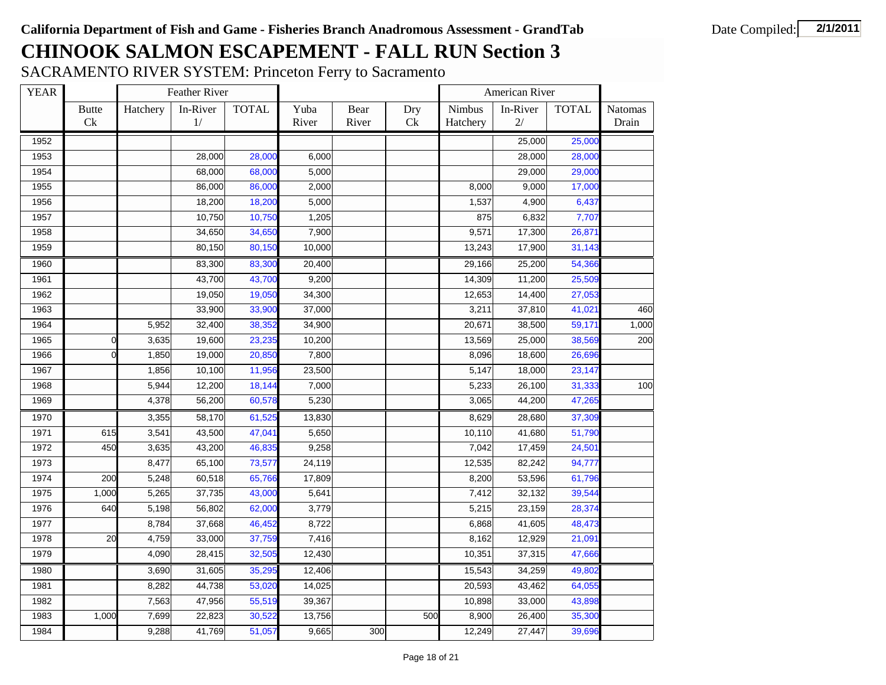SACRAMENTO RIVER SYSTEM: Princeton Ferry to Sacramento

| <b>YEAR</b> |                    |          | Feather River  |              |               |               |           |                    | American River |              |                  |
|-------------|--------------------|----------|----------------|--------------|---------------|---------------|-----------|--------------------|----------------|--------------|------------------|
|             | <b>Butte</b><br>Ck | Hatchery | In-River<br>1/ | <b>TOTAL</b> | Yuba<br>River | Bear<br>River | Dry<br>Ck | Nimbus<br>Hatchery | In-River<br>2/ | <b>TOTAL</b> | Natomas<br>Drain |
| 1952        |                    |          |                |              |               |               |           |                    | 25,000         | 25,000       |                  |
| 1953        |                    |          | 28,000         | 28,000       | 6,000         |               |           |                    | 28,000         | 28,000       |                  |
| 1954        |                    |          | 68,000         | 68,000       | 5,000         |               |           |                    | 29,000         | 29,000       |                  |
| 1955        |                    |          | 86,000         | 86,000       | 2,000         |               |           | 8,000              | 9,000          | 17,000       |                  |
| 1956        |                    |          | 18,200         | 18,200       | 5,000         |               |           | 1,537              | 4,900          | 6,437        |                  |
| 1957        |                    |          | 10,750         | 10,750       | 1,205         |               |           | 875                | 6,832          | 7,707        |                  |
| 1958        |                    |          | 34,650         | 34,650       | 7,900         |               |           | 9,571              | 17,300         | 26,871       |                  |
| 1959        |                    |          | 80,150         | 80,150       | 10,000        |               |           | 13,243             | 17,900         | 31,143       |                  |
| 1960        |                    |          | 83,300         | 83,300       | 20,400        |               |           | 29,166             | 25,200         | 54,366       |                  |
| 1961        |                    |          | 43,700         | 43,700       | 9,200         |               |           | 14,309             | 11,200         | 25,509       |                  |
| 1962        |                    |          | 19,050         | 19,050       | 34,300        |               |           | 12,653             | 14,400         | 27,053       |                  |
| 1963        |                    |          | 33,900         | 33,900       | 37,000        |               |           | 3,211              | 37,810         | 41,021       | 460              |
| 1964        |                    | 5,952    | 32,400         | 38,352       | 34,900        |               |           | 20,671             | 38,500         | 59,171       | 1,000            |
| 1965        | $\Omega$           | 3,635    | 19,600         | 23,235       | 10,200        |               |           | 13,569             | 25,000         | 38,569       | 200              |
| 1966        | $\Omega$           | 1,850    | 19,000         | 20,850       | 7,800         |               |           | 8,096              | 18,600         | 26,696       |                  |
| 1967        |                    | 1,856    | 10,100         | 11,956       | 23,500        |               |           | 5,147              | 18,000         | 23,147       |                  |
| 1968        |                    | 5,944    | 12,200         | 18,144       | 7,000         |               |           | 5,233              | 26,100         | 31,333       | 100              |
| 1969        |                    | 4,378    | 56,200         | 60,578       | 5,230         |               |           | 3,065              | 44,200         | 47,265       |                  |
| 1970        |                    | 3,355    | 58,170         | 61,525       | 13,830        |               |           | 8,629              | 28,680         | 37,309       |                  |
| 1971        | 615                | 3,541    | 43,500         | 47,041       | 5,650         |               |           | 10,110             | 41,680         | 51,790       |                  |
| 1972        | 450                | 3,635    | 43,200         | 46,835       | 9,258         |               |           | 7,042              | 17,459         | 24,501       |                  |
| 1973        |                    | 8,477    | 65,100         | 73,577       | 24,119        |               |           | 12,535             | 82,242         | 94,777       |                  |
| 1974        | 200                | 5,248    | 60,518         | 65,766       | 17,809        |               |           | 8,200              | 53,596         | 61,796       |                  |
| 1975        | 1,000              | 5,265    | 37,735         | 43,000       | 5,641         |               |           | 7,412              | 32,132         | 39,544       |                  |
| 1976        | 640                | 5,198    | 56,802         | 62,000       | 3,779         |               |           | 5,215              | 23,159         | 28,374       |                  |
| 1977        |                    | 8,784    | 37,668         | 46,452       | 8,722         |               |           | 6,868              | 41,605         | 48,473       |                  |
| 1978        | 20                 | 4,759    | 33,000         | 37,759       | 7,416         |               |           | 8,162              | 12,929         | 21,091       |                  |
| 1979        |                    | 4,090    | 28,415         | 32,505       | 12,430        |               |           | 10,351             | 37,315         | 47,666       |                  |
| 1980        |                    | 3,690    | 31,605         | 35,295       | 12,406        |               |           | 15,543             | 34,259         | 49,802       |                  |
| 1981        |                    | 8,282    | 44,738         | 53,020       | 14,025        |               |           | 20,593             | 43,462         | 64,055       |                  |
| 1982        |                    | 7,563    | 47,956         | 55,519       | 39,367        |               |           | 10,898             | 33,000         | 43,898       |                  |
| 1983        | 1,000              | 7,699    | 22,823         | 30,522       | 13,756        |               | 500       | 8,900              | 26,400         | 35,300       |                  |
| 1984        |                    | 9,288    | 41,769         | 51,057       | 9,665         | 300           |           | 12,249             | 27,447         | 39,696       |                  |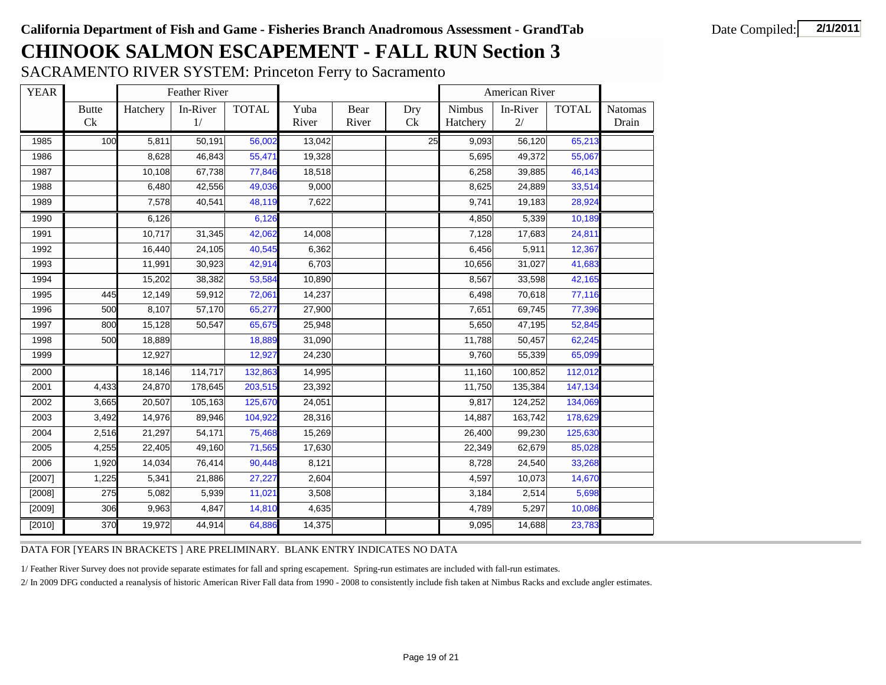SACRAMENTO RIVER SYSTEM: Princeton Ferry to Sacramento

| <b>YEAR</b> |              |          | Feather River |              |        |       |     |          | American River       |              |                |
|-------------|--------------|----------|---------------|--------------|--------|-------|-----|----------|----------------------|--------------|----------------|
|             | <b>Butte</b> | Hatchery | In-River      | <b>TOTAL</b> | Yuba   | Bear  | Dry | Nimbus   | In-River             | <b>TOTAL</b> | <b>Natomas</b> |
|             | Ck           |          | 1/            |              | River  | River | Ck  | Hatchery | 2/                   |              | Drain          |
| 1985        | 100          | 5,811    | 50,191        | 56,002       | 13,042 |       | 25  | 9,093    | $\overline{56, 120}$ | 65,213       |                |
| 1986        |              | 8,628    | 46,843        | 55,471       | 19,328 |       |     | 5,695    | 49,372               | 55,067       |                |
| 1987        |              | 10,108   | 67,738        | 77,846       | 18,518 |       |     | 6,258    | 39,885               | 46,143       |                |
| 1988        |              | 6,480    | 42,556        | 49,036       | 9,000  |       |     | 8,625    | 24,889               | 33,514       |                |
| 1989        |              | 7,578    | 40,541        | 48,119       | 7,622  |       |     | 9,741    | 19,183               | 28,924       |                |
| 1990        |              | 6,126    |               | 6,126        |        |       |     | 4.850    | 5,339                | 10,189       |                |
| 1991        |              | 10,717   | 31,345        | 42,062       | 14,008 |       |     | 7,128    | 17,683               | 24,811       |                |
| 1992        |              | 16,440   | 24,105        | 40,545       | 6,362  |       |     | 6,456    | 5,911                | 12,367       |                |
| 1993        |              | 11,991   | 30,923        | 42,914       | 6,703  |       |     | 10,656   | 31,027               | 41,683       |                |
| 1994        |              | 15,202   | 38,382        | 53,584       | 10,890 |       |     | 8,567    | 33,598               | 42,165       |                |
| 1995        | 445          | 12,149   | 59,912        | 72,061       | 14,237 |       |     | 6,498    | 70,618               | 77,116       |                |
| 1996        | 500          | 8,107    | 57,170        | 65,277       | 27,900 |       |     | 7,651    | 69,745               | 77,396       |                |
| 1997        | 800          | 15,128   | 50,547        | 65,675       | 25,948 |       |     | 5,650    | 47,195               | 52,845       |                |
| 1998        | 500          | 18,889   |               | 18,889       | 31,090 |       |     | 11,788   | 50,457               | 62,245       |                |
| 1999        |              | 12,927   |               | 12,927       | 24,230 |       |     | 9,760    | 55,339               | 65,099       |                |
| 2000        |              | 18,146   | 114,717       | 132,863      | 14,995 |       |     | 11,160   | 100,852              | 112,012      |                |
| 2001        | 4,433        | 24,870   | 178,645       | 203,515      | 23,392 |       |     | 11,750   | 135,384              | 147,134      |                |
| 2002        | 3,665        | 20,507   | 105,163       | 125,670      | 24,051 |       |     | 9,817    | 124,252              | 134,069      |                |
| 2003        | 3,492        | 14,976   | 89,946        | 104,922      | 28,316 |       |     | 14,887   | 163,742              | 178,629      |                |
| 2004        | 2,516        | 21,297   | 54,171        | 75,468       | 15,269 |       |     | 26,400   | 99,230               | 125,630      |                |
| 2005        | 4,255        | 22,405   | 49,160        | 71,565       | 17,630 |       |     | 22,349   | 62,679               | 85,028       |                |
| 2006        | 1,920        | 14,034   | 76,414        | 90,448       | 8,121  |       |     | 8,728    | 24,540               | 33,268       |                |
| [2007]      | 1,225        | 5,341    | 21,886        | 27,227       | 2,604  |       |     | 4,597    | 10,073               | 14,670       |                |
| [2008]      | 275          | 5,082    | 5,939         | 11,021       | 3,508  |       |     | 3,184    | 2,514                | 5,698        |                |
| [2009]      | 306          | 9,963    | 4,847         | 14,810       | 4,635  |       |     | 4,789    | 5,297                | 10,086       |                |
| [2010]      | 370          | 19,972   | 44,914        | 64,886       | 14,375 |       |     | 9,095    | 14,688               | 23,783       |                |

DATA FOR [YEARS IN BRACKETS ] ARE PRELIMINARY. BLANK ENTRY INDICATES NO DATA

1/ Feather River Survey does not provide separate estimates for fall and spring escapement. Spring-run estimates are included with fall-run estimates.

2/ In 2009 DFG conducted a reanalysis of historic American River Fall data from 1990 - 2008 to consistently include fish taken at Nimbus Racks and exclude angler estimates.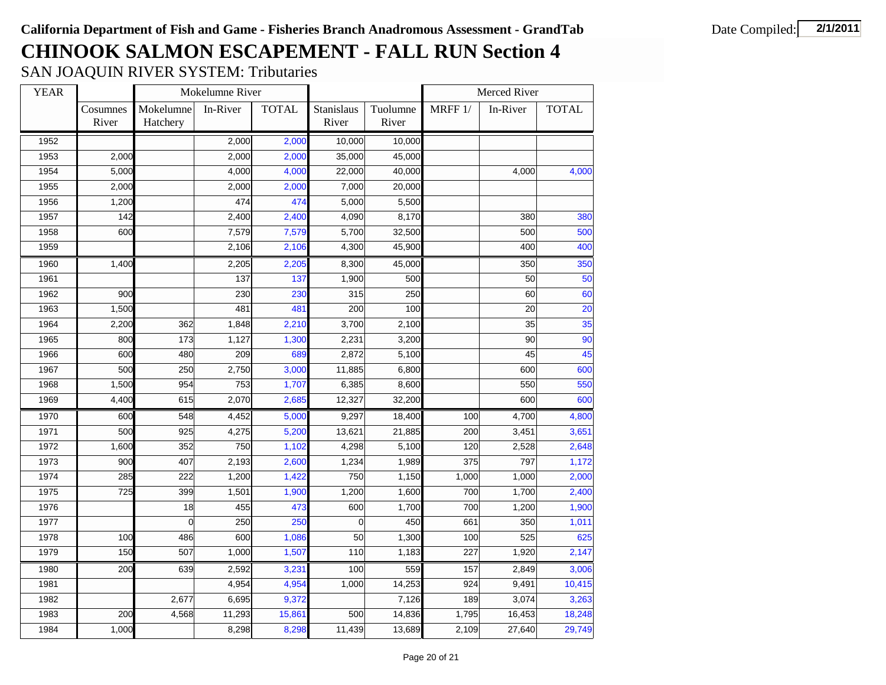SAN JOAQUIN RIVER SYSTEM: Tributaries

| <b>YEAR</b> |                   |                       | Mokelumne River |              |                     |                   |         | Merced River |              |
|-------------|-------------------|-----------------------|-----------------|--------------|---------------------|-------------------|---------|--------------|--------------|
|             | Cosumnes<br>River | Mokelumne<br>Hatchery | In-River        | <b>TOTAL</b> | Stanislaus<br>River | Tuolumne<br>River | MRFF 1/ | In-River     | <b>TOTAL</b> |
| 1952        |                   |                       | 2,000           | 2,000        | 10,000              | 10,000            |         |              |              |
| 1953        | 2,000             |                       | 2,000           | 2,000        | 35,000              | 45,000            |         |              |              |
| 1954        | 5,000             |                       | 4,000           | 4,000        | 22,000              | 40,000            |         | 4,000        | 4,000        |
| 1955        | 2,000             |                       | 2,000           | 2,000        | 7,000               | 20,000            |         |              |              |
| 1956        | 1,200             |                       | 474             | 474          | 5,000               | 5,500             |         |              |              |
| 1957        | 142               |                       | 2,400           | 2,400        | 4,090               | 8,170             |         | 380          | 380          |
| 1958        | 600               |                       | 7,579           | 7,579        | 5,700               | 32,500            |         | 500          | 500          |
| 1959        |                   |                       | 2,106           | 2,106        | 4,300               | 45,900            |         | 400          | 400          |
| 1960        | 1,400             |                       | 2,205           | 2,205        | 8,300               | 45,000            |         | 350          | 350          |
| 1961        |                   |                       | 137             | 137          | 1,900               | 500               |         | 50           | 50           |
| 1962        | 900               |                       | 230             | 230          | 315                 | 250               |         | 60           | 60           |
| 1963        | 1,500             |                       | 481             | 481          | 200                 | 100               |         | 20           | 20           |
| 1964        | 2,200             | 362                   | 1,848           | 2,210        | 3,700               | 2,100             |         | 35           | 35           |
| 1965        | 800               | 173                   | 1,127           | 1,300        | 2,231               | 3,200             |         | 90           | 90           |
| 1966        | 600               | 480                   | 209             | 689          | 2,872               | 5,100             |         | 45           | 45           |
| 1967        | 500               | 250                   | 2,750           | 3,000        | 11,885              | 6,800             |         | 600          | 600          |
| 1968        | 1,500             | 954                   | 753             | 1,707        | 6,385               | 8,600             |         | 550          | 550          |
| 1969        | 4,400             | 615                   | 2,070           | 2,685        | 12,327              | 32,200            |         | 600          | 600          |
| 1970        | 600               | 548                   | 4,452           | 5,000        | 9,297               | 18,400            | 100     | 4,700        | 4,800        |
| 1971        | 500               | 925                   | 4,275           | 5,200        | 13,621              | 21,885            | 200     | 3,451        | 3,651        |
| 1972        | 1,600             | 352                   | 750             | 1,102        | 4,298               | 5,100             | 120     | 2,528        | 2,648        |
| 1973        | 900               | 407                   | 2,193           | 2,600        | 1,234               | 1,989             | 375     | 797          | 1,172        |
| 1974        | 285               | 222                   | 1,200           | 1,422        | 750                 | 1,150             | 1,000   | 1,000        | 2,000        |
| 1975        | 725               | 399                   | 1,501           | 1,900        | 1,200               | 1,600             | 700     | 1,700        | 2,400        |
| 1976        |                   | 18                    | 455             | 473          | 600                 | 1,700             | 700     | 1,200        | 1,900        |
| 1977        |                   | $\overline{0}$        | 250             | 250          | $\Omega$            | 450               | 661     | 350          | 1,011        |
| 1978        | 100               | 486                   | 600             | 1,086        | 50                  | 1,300             | 100     | 525          | 625          |
| 1979        | 150               | 507                   | 1,000           | 1,507        | 110                 | 1,183             | 227     | 1,920        | 2,147        |
| 1980        | 200               | 639                   | 2,592           | 3,231        | 100                 | 559               | 157     | 2,849        | 3,006        |
| 1981        |                   |                       | 4,954           | 4,954        | 1,000               | 14,253            | 924     | 9,491        | 10,415       |
| 1982        |                   | 2,677                 | 6,695           | 9,372        |                     | 7,126             | 189     | 3,074        | 3,263        |
| 1983        | 200               | 4,568                 | 11,293          | 15,861       | 500                 | 14,836            | 1,795   | 16,453       | 18,248       |
| 1984        | 1,000             |                       | 8,298           | 8,298        | 11,439              | 13,689            | 2,109   | 27,640       | 29,749       |